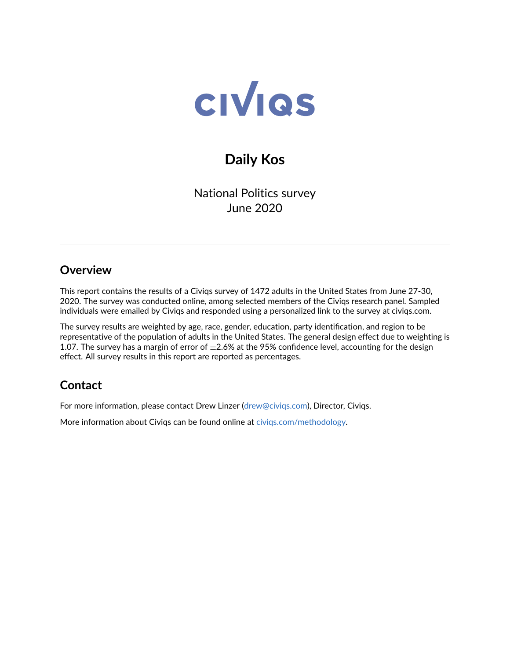

# **Daily Kos**

National Politics survey June 2020

### **Overview**

This report contains the results of a Civiqs survey of 1472 adults in the United States from June 27-30, 2020. The survey was conducted online, among selected members of the Civiqs research panel. Sampled individuals were emailed by Civiqs and responded using a personalized link to the survey at civiqs.com.

The survey results are weighted by age, race, gender, education, party identification, and region to be representative of the population of adults in the United States. The general design effect due to weighting is 1.07. The survey has a margin of error of  $\pm 2.6\%$  at the 95% confidence level, accounting for the design effect. All survey results in this report are reported as percentages.

## **Contact**

For more information, please contact Drew Linzer [\(drew@civiqs.com\)](mailto:drew@civiqs.com), Director, Civiqs.

More information about Civiqs can be found online at [civiqs.com/methodology.](https://civiqs.com/methodology)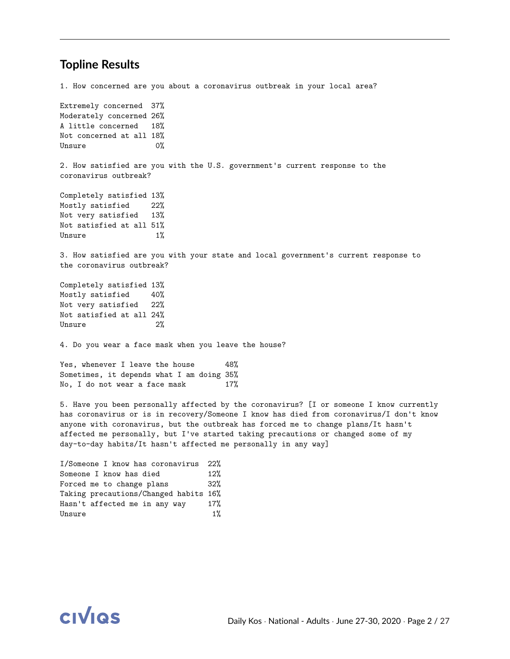#### **Topline Results**

1. How concerned are you about a coronavirus outbreak in your local area? Extremely concerned 37% Moderately concerned 26% A little concerned 18% Not concerned at all 18% Unsure 0% 2. How satisfied are you with the U.S. government's current response to the coronavirus outbreak? Completely satisfied 13% Mostly satisfied 22% Not very satisfied 13% Not satisfied at all 51% Unsure 1% 3. How satisfied are you with your state and local government's current response to the coronavirus outbreak? Completely satisfied 13% Mostly satisfied 40% Not very satisfied 22% Not satisfied at all 24% Unsure 2% 4. Do you wear a face mask when you leave the house? Yes, whenever I leave the house 48% Sometimes, it depends what I am doing 35% No, I do not wear a face mask 17% 5. Have you been personally affected by the coronavirus? [I or someone I know currently has coronavirus or is in recovery/Someone I know has died from coronavirus/I don't know anyone with coronavirus, but the outbreak has forced me to change plans/It hasn't affected me personally, but I've started taking precautions or changed some of my

I/Someone I know has coronavirus 22% Someone I know has died 12% Forced me to change plans 32% Taking precautions/Changed habits 16% Hasn't affected me in any way 17% Unsure 1%

day-to-day habits/It hasn't affected me personally in any way]

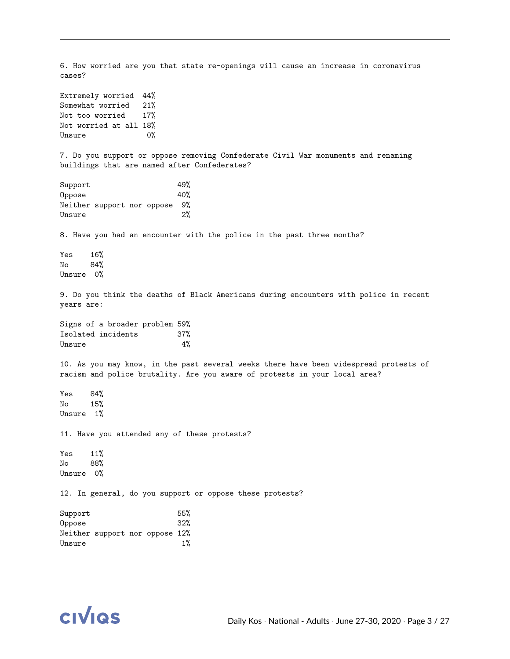6. How worried are you that state re-openings will cause an increase in coronavirus cases? Extremely worried 44% Somewhat worried 21% Not too worried 17% Not worried at all 18% Unsure 0% 7. Do you support or oppose removing Confederate Civil War monuments and renaming buildings that are named after Confederates? Support 49% Oppose 40% Neither support nor oppose 9% Unsure 2% 8. Have you had an encounter with the police in the past three months? Yes 16% No 84% Unsure 0% 9. Do you think the deaths of Black Americans during encounters with police in recent years are: Signs of a broader problem 59% Isolated incidents 37% Unsure 4% 10. As you may know, in the past several weeks there have been widespread protests of racism and police brutality. Are you aware of protests in your local area? Yes 84% No 15% Unsure 1% 11. Have you attended any of these protests? Yes 11% No 88% Unsure 0% 12. In general, do you support or oppose these protests? Support 55% Oppose 32% Neither support nor oppose 12%



Unsure 1%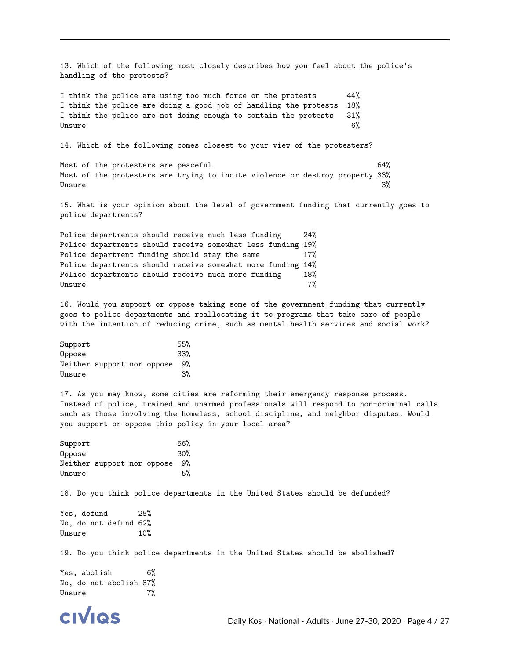13. Which of the following most closely describes how you feel about the police's handling of the protests?

I think the police are using too much force on the protests 44% I think the police are doing a good job of handling the protests 18% I think the police are not doing enough to contain the protests 31%  $\mu_\mathrm{BME} = 6\%$ 

14. Which of the following comes closest to your view of the protesters?

Most of the protesters are peaceful 64% Most of the protesters are trying to incite violence or destroy property 33% Unsure 3% and 3% and 3% and 3% and 3% and 3% and 3% and 3% and 3% and 3% and 3% and 3% and 3% and 3% and 3% and

15. What is your opinion about the level of government funding that currently goes to police departments?

Police departments should receive much less funding 24% Police departments should receive somewhat less funding 19% Police department funding should stay the same 17% Police departments should receive somewhat more funding 14% Police departments should receive much more funding 18%  $Unsure$ 

16. Would you support or oppose taking some of the government funding that currently goes to police departments and reallocating it to programs that take care of people with the intention of reducing crime, such as mental health services and social work?

| Support |                            |  | 55%  |
|---------|----------------------------|--|------|
| Oppose  |                            |  | 33%  |
|         | Neither support nor oppose |  | - 9% |
| Unsure  |                            |  | 3%   |

17. As you may know, some cities are reforming their emergency response process. Instead of police, trained and unarmed professionals will respond to non-criminal calls such as those involving the homeless, school discipline, and neighbor disputes. Would you support or oppose this policy in your local area?

| Support |                            |  | 56% |
|---------|----------------------------|--|-----|
| Oppose  |                            |  | 30% |
|         | Neither support nor oppose |  | 9%  |
| Unsure  |                            |  | 5%  |

18. Do you think police departments in the United States should be defunded?

Yes, defund 28% No, do not defund 62% Unsure 10%

19. Do you think police departments in the United States should be abolished?

Yes, abolish 6% No, do not abolish 87% Unsure 7%

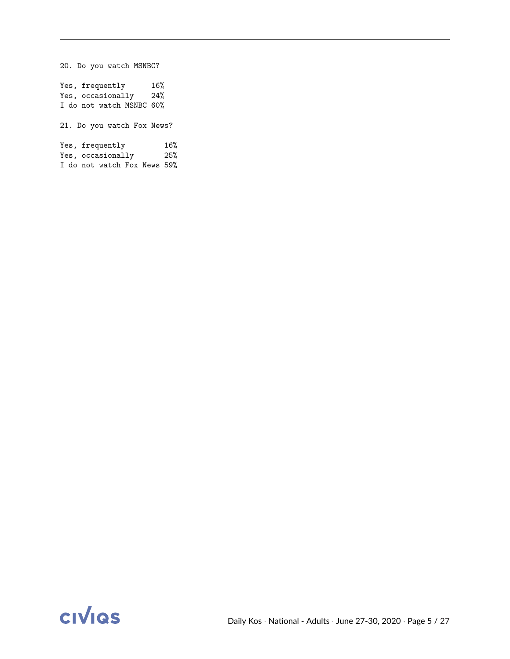20. Do you watch MSNBC? Yes, frequently 16% Yes, occasionally 24% I do not watch MSNBC 60% 21. Do you watch Fox News? Yes, frequently 16% Yes, occasionally 25% I do not watch Fox News 59%

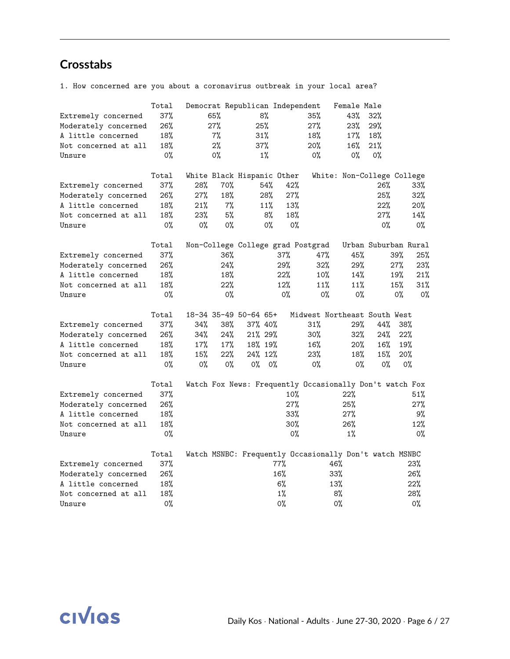## **Crosstabs**

1. How concerned are you about a coronavirus outbreak in your local area?

|                      | Total  | Democrat Republican Independent |       |          |       |       |                                                         | Female Male |                            |       |        |
|----------------------|--------|---------------------------------|-------|----------|-------|-------|---------------------------------------------------------|-------------|----------------------------|-------|--------|
| Extremely concerned  | 37%    | 65%                             |       | 8%       |       |       | 35%                                                     | 43%         | 32%                        |       |        |
| Moderately concerned | 26%    | 27%                             |       | 25%      |       |       | 27%                                                     | 23%         | 29%                        |       |        |
| A little concerned   | 18%    |                                 | 7%    | 31%      |       |       | 18%                                                     | 17%         | 18%                        |       |        |
| Not concerned at all | 18%    |                                 | $2\%$ | 37%      |       |       | 20%                                                     | 16%         | 21%                        |       |        |
| Unsure               | $0\%$  | 0%                              |       |          | $1\%$ |       | $0\%$                                                   | 0%          | $0\%$                      |       |        |
|                      |        |                                 |       |          |       |       |                                                         |             |                            |       |        |
|                      | Total  | White Black Hispanic Other      |       |          |       |       |                                                         |             | White: Non-College College |       |        |
| Extremely concerned  | 37%    | 28%                             | 70%   |          | 54%   | 42%   |                                                         |             | 26%                        |       | $33\%$ |
| Moderately concerned | 26%    | 27%                             | 18%   |          | 28%   | 27%   |                                                         |             | 25%                        |       | 32%    |
| A little concerned   | 18%    | 21%                             | 7%    |          | 11%   | 13%   |                                                         |             | 22%                        |       | 20%    |
| Not concerned at all | 18%    | 23%                             | 5%    |          | 8%    | 18%   |                                                         |             | 27%                        |       | 14%    |
| Unsure               | 0%     | $0\%$                           | 0%    |          | 0%    | $0\%$ |                                                         |             | 0%                         |       | 0%     |
|                      |        |                                 |       |          |       |       |                                                         |             |                            |       |        |
|                      | Total  |                                 |       |          |       |       | Non-College College grad Postgrad                       |             | Urban Suburban Rural       |       |        |
| Extremely concerned  | 37%    |                                 | 36%   |          |       | 37%   | 47%                                                     | 45%         |                            | 39%   | 25%    |
| Moderately concerned | 26%    |                                 | 24%   |          |       | 29%   | 32%                                                     | 29%         |                            | 27%   | 23%    |
| A little concerned   | 18%    |                                 | 18%   |          |       | 22%   | 10%                                                     | 14%         |                            | 19%   | 21%    |
| Not concerned at all | 18%    |                                 | 22%   |          |       | 12%   | 11%                                                     | 11%         |                            | 15%   | 31%    |
| Unsure               | 0%     |                                 | 0%    |          |       | $0\%$ | $0\%$                                                   | $0\%$       |                            | $0\%$ | 0%     |
|                      |        |                                 |       |          |       |       |                                                         |             |                            |       |        |
|                      | Total  | 18-34 35-49 50-64 65+           |       |          |       |       | Midwest Northeast South West                            |             |                            |       |        |
| Extremely concerned  | 37%    | 34%                             | 38%   | 37% 40%  |       |       | 31%                                                     | 29%         | 44%                        | 38%   |        |
| Moderately concerned | 26%    | 34%                             | 24%   | 21% 29%  |       |       | 30%                                                     | 32%         | 24%                        | 22%   |        |
| A little concerned   | 18%    | 17%                             | 17%   | 18% 19%  |       |       | 16%                                                     | $20\%$      | 16%                        | 19%   |        |
| Not concerned at all | 18%    | 15%                             | 22%   | 24% 12%  |       |       | 23%                                                     | 18%         | 15%                        | 20%   |        |
| Unsure               | 0%     | $0\%$                           | 0%    | $0\%$ 0% |       |       | $0\%$                                                   | $0\%$       | 0%                         |       | $0\%$  |
|                      |        |                                 |       |          |       |       |                                                         |             |                            |       |        |
|                      | Total  |                                 |       |          |       |       | Watch Fox News: Frequently Occasionally Don't watch Fox |             |                            |       |        |
| Extremely concerned  | 37%    |                                 |       |          |       | 10%   |                                                         | 22%         |                            |       | 51%    |
| Moderately concerned | $26\%$ |                                 |       |          |       | 27%   |                                                         | 25%         |                            |       | 27%    |
| A little concerned   | 18%    |                                 |       |          |       | 33%   |                                                         | 27%         |                            |       | 9%     |
| Not concerned at all | 18%    |                                 |       |          |       | 30%   |                                                         | 26%         |                            |       | 12%    |
| Unsure               | $0\%$  |                                 |       |          |       | 0%    |                                                         | $1\%$       |                            |       | 0%     |
|                      |        |                                 |       |          |       |       |                                                         |             |                            |       |        |
|                      | Total  |                                 |       |          |       |       | Watch MSNBC: Frequently Occasionally Don't watch MSNBC  |             |                            |       |        |
| Extremely concerned  | 37%    |                                 |       |          |       | 77%   |                                                         | 46%         |                            |       | 23%    |
| Moderately concerned | 26%    |                                 |       |          |       | 16%   |                                                         | 33%         |                            |       | 26%    |
| A little concerned   | 18%    |                                 |       |          |       | 6%    |                                                         | 13%         |                            |       | 22%    |
| Not concerned at all | 18%    |                                 |       |          |       | 1%    |                                                         | 8%          |                            |       | 28%    |
| Unsure               | $0\%$  |                                 |       |          |       | $0\%$ |                                                         | 0%          |                            |       | $0\%$  |
|                      |        |                                 |       |          |       |       |                                                         |             |                            |       |        |

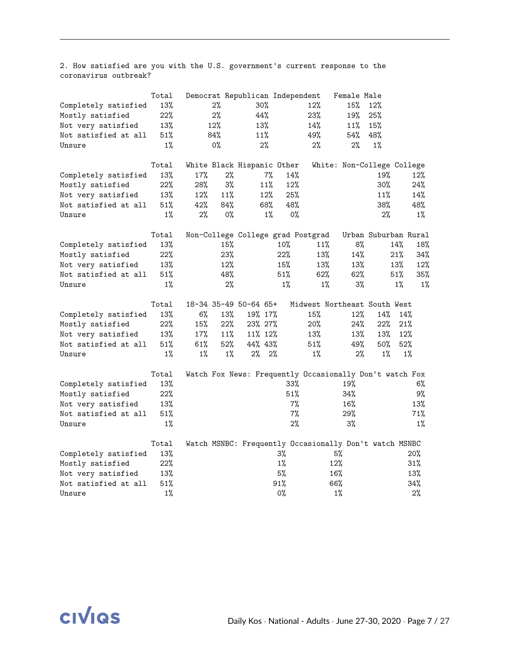2. How satisfied are you with the U.S. government's current response to the coronavirus outbreak?

|                      | Total  |       |       | Democrat Republican Independent                         |        |       | Female Male                  |       |                      |
|----------------------|--------|-------|-------|---------------------------------------------------------|--------|-------|------------------------------|-------|----------------------|
| Completely satisfied | 13%    |       | 2%    | 30%                                                     |        | 12%   | 15%                          | 12%   |                      |
| Mostly satisfied     | 22%    |       | 2%    | 44%                                                     |        | 23%   | 19%                          | 25%   |                      |
| Not very satisfied   | 13%    |       | 12%   | 13%                                                     |        | 14%   | 11%                          | 15%   |                      |
| Not satisfied at all | 51%    |       | 84%   | 11%                                                     |        | 49%   | 54%                          | 48%   |                      |
| Unsure               | $1\%$  |       | 0%    | 2%                                                      |        | 2%    | 2%                           | $1\%$ |                      |
|                      | Total  |       |       | White Black Hispanic Other                              |        |       | White: Non-College College   |       |                      |
| Completely satisfied | 13%    | 17%   | 2%    | 7%                                                      | 14%    |       |                              | 19%   | 12%                  |
| Mostly satisfied     | 22%    | 28%   | $3\%$ | 11%                                                     | 12%    |       |                              | 30%   | 24%                  |
| Not very satisfied   | 13%    | 12%   | 11%   | 12%                                                     | 25%    |       |                              | 11%   | 14%                  |
| Not satisfied at all | 51%    | 42%   | 84%   | 68%                                                     | 48%    |       |                              | 38%   | 48%                  |
| Unsure               | $1\%$  | 2%    | $0\%$ | $1\%$                                                   | $0\%$  |       |                              | 2%    | $1\%$                |
|                      | Total  |       |       | Non-College College grad Postgrad                       |        |       |                              |       | Urban Suburban Rural |
| Completely satisfied | 13%    |       | 15%   |                                                         | 10%    | 11%   | 8%                           |       | 14%<br>18%           |
| Mostly satisfied     | 22%    |       | 23%   |                                                         | 22%    | 13%   | 14%                          |       | 21%<br>34%           |
| Not very satisfied   | 13%    |       | 12%   |                                                         | 15%    | 13%   | 13%                          |       | 13%<br>12%           |
| Not satisfied at all | $51\%$ |       | 48%   |                                                         | $51\%$ | 62%   | $62\%$                       |       | 51%<br>35%           |
| Unsure               | $1\%$  |       | 2%    |                                                         | $1\%$  | $1\%$ | $3\%$                        |       | $1\%$<br>$1\%$       |
|                      | Total  |       |       | 18-34 35-49 50-64 65+                                   |        |       | Midwest Northeast South West |       |                      |
| Completely satisfied | 13%    | 6%    | 13%   | 19% 17%                                                 |        | 15%   | 12%                          | 14%   | 14%                  |
| Mostly satisfied     | 22%    | 15%   | 22%   | 23% 27%                                                 |        | 20%   | 24%                          | 22%   | 21%                  |
| Not very satisfied   | 13%    | 17%   | 11%   | 11% 12%                                                 |        | 13%   | 13%                          | 13%   | 12%                  |
| Not satisfied at all | 51%    | 61%   | 52%   | 44% 43%                                                 |        | 51%   | 49%                          | 50%   | 52%                  |
| Unsure               | $1\%$  | $1\%$ | $1\%$ | $2\%$ 2%                                                |        | 1%    | $2\%$                        | $1\%$ | $1\%$                |
|                      | Total  |       |       | Watch Fox News: Frequently Occasionally Don't watch Fox |        |       |                              |       |                      |
| Completely satisfied | 13%    |       |       |                                                         | 33%    |       | 19%                          |       | 6%                   |
| Mostly satisfied     | 22%    |       |       |                                                         | 51%    |       | 34%                          |       | 9%                   |
| Not very satisfied   | 13%    |       |       |                                                         | 7%     |       | 16%                          |       | 13%                  |
| Not satisfied at all | 51%    |       |       |                                                         | 7%     |       | 29%                          |       | 71%                  |
| Unsure               | $1\%$  |       |       |                                                         | 2%     |       | 3%                           |       | $1\%$                |
|                      | Total  |       |       | Watch MSNBC: Frequently Occasionally Don't watch MSNBC  |        |       |                              |       |                      |
| Completely satisfied | 13%    |       |       |                                                         | $3\%$  |       | 5%                           |       | 20%                  |
| Mostly satisfied     | 22%    |       |       |                                                         | $1\%$  |       | 12%                          |       | 31%                  |
| Not very satisfied   | 13%    |       |       |                                                         | 5%     |       | 16%                          |       | 13%                  |
| Not satisfied at all | 51%    |       |       |                                                         | 91%    |       | 66%                          |       | 34%                  |
| Unsure               | $1\%$  |       |       |                                                         | $0\%$  |       | $1\%$                        |       | 2%                   |

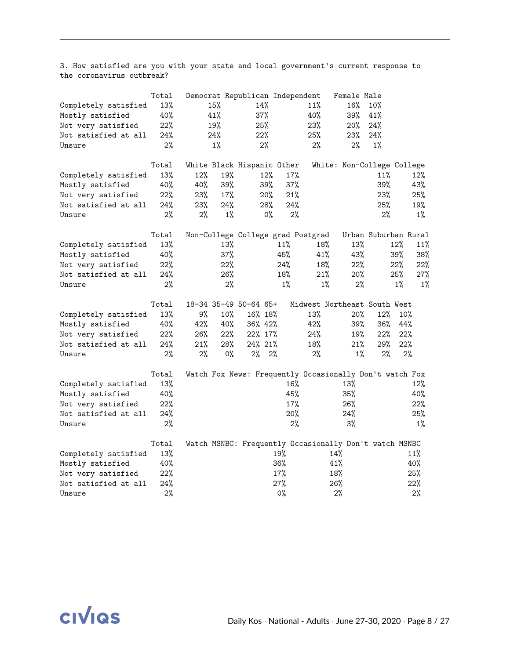3. How satisfied are you with your state and local government's current response to the coronavirus outbreak?

|                      | Total |     |       | Democrat Republican Independent                         |          |                              | Female Male                |       |                      |
|----------------------|-------|-----|-------|---------------------------------------------------------|----------|------------------------------|----------------------------|-------|----------------------|
| Completely satisfied | 13%   |     | 15%   | 14%                                                     |          | 11%                          | 16%                        | 10%   |                      |
| Mostly satisfied     | 40%   |     | 41%   | 37%                                                     |          | 40%                          | 39%                        | 41%   |                      |
| Not very satisfied   | 22%   |     | 19%   | 25%                                                     |          | 23%                          | 20%                        | 24%   |                      |
| Not satisfied at all | 24%   |     | 24%   | 22%                                                     |          | 25%                          | 23%                        | 24%   |                      |
| Unsure               | 2%    |     | $1\%$ | 2%                                                      |          | 2%                           | 2%                         | $1\%$ |                      |
|                      | Total |     |       | White Black Hispanic Other                              |          |                              | White: Non-College College |       |                      |
| Completely satisfied | 13%   | 12% | 19%   | 12%                                                     | 17%      |                              |                            | 11%   | 12%                  |
| Mostly satisfied     | 40%   | 40% | 39%   | 39%                                                     | 37%      |                              |                            | 39%   | 43%                  |
| Not very satisfied   | 22%   | 23% | 17%   | 20%                                                     | 21%      |                              |                            | 23%   | 25%                  |
| Not satisfied at all | 24%   | 23% | 24%   | 28%                                                     | 24%      |                              |                            | 25%   | 19%                  |
| Unsure               | 2%    | 2%  | $1\%$ |                                                         | 0%<br>2% |                              |                            | 2%    | $1\%$                |
|                      | Total |     |       | Non-College College grad Postgrad                       |          |                              |                            |       | Urban Suburban Rural |
| Completely satisfied | 13%   |     | 13%   |                                                         | 11%      | 18%                          | 13%                        |       | 12%<br>11%           |
| Mostly satisfied     | 40%   |     | 37%   |                                                         | 45%      | 41%                          | 43%                        |       | 39%<br>38%           |
| Not very satisfied   | 22%   |     | 22%   |                                                         | 24%      | 18%                          | 22%                        |       | 22%<br>22%           |
| Not satisfied at all | 24%   |     | 26%   |                                                         | 18%      | 21%                          | 20%                        |       | 25%<br>27%           |
| Unsure               | 2%    |     | 2%    |                                                         | $1\%$    | $1\%$                        | 2%                         |       | $1\%$<br>$1\%$       |
|                      | Total |     |       | 18-34 35-49 50-64 65+                                   |          | Midwest Northeast South West |                            |       |                      |
| Completely satisfied | 13%   | 9%  | 10%   | 16% 18%                                                 |          | 13%                          | 20%                        | 12%   | 10%                  |
| Mostly satisfied     | 40%   | 42% | 40%   | 36% 42%                                                 |          | 42%                          | 39%                        | 36%   | 44%                  |
| Not very satisfied   | 22%   | 26% | 22%   | 22% 17%                                                 |          | 24%                          | 19%                        | 22%   | 22%                  |
| Not satisfied at all | 24%   | 21% | 28%   | 24% 21%                                                 |          | 18%                          | 21%                        | 29%   | 22%                  |
| Unsure               | 2%    | 2%  | $0\%$ | $2\%$                                                   | $2\%$    | 2%                           | 1%                         | 2%    | 2%                   |
|                      | Total |     |       | Watch Fox News: Frequently Occasionally Don't watch Fox |          |                              |                            |       |                      |
| Completely satisfied | 13%   |     |       |                                                         | 16%      |                              | 13%                        |       | 12%                  |
| Mostly satisfied     | 40%   |     |       |                                                         | 45%      |                              | 35%                        |       | 40%                  |
| Not very satisfied   | 22%   |     |       |                                                         | 17%      |                              | 26%                        |       | 22%                  |
| Not satisfied at all | 24%   |     |       |                                                         | 20%      |                              | 24%                        |       | 25%                  |
| Unsure               | 2%    |     |       |                                                         | 2%       |                              | 3%                         |       | $1\%$                |
|                      | Total |     |       | Watch MSNBC: Frequently Occasionally Don't watch MSNBC  |          |                              |                            |       |                      |
| Completely satisfied | 13%   |     |       |                                                         | 19%      |                              | 14%                        |       | 11%                  |
| Mostly satisfied     | 40%   |     |       |                                                         | 36%      |                              | 41%                        |       | 40%                  |
| Not very satisfied   | 22%   |     |       |                                                         | 17%      |                              | 18%                        |       | 25%                  |
| Not satisfied at all | 24%   |     |       |                                                         | 27%      |                              | 26%                        |       | 22%                  |
| Unsure               | 2%    |     |       |                                                         | $0\%$    |                              | 2%                         |       | 2%                   |

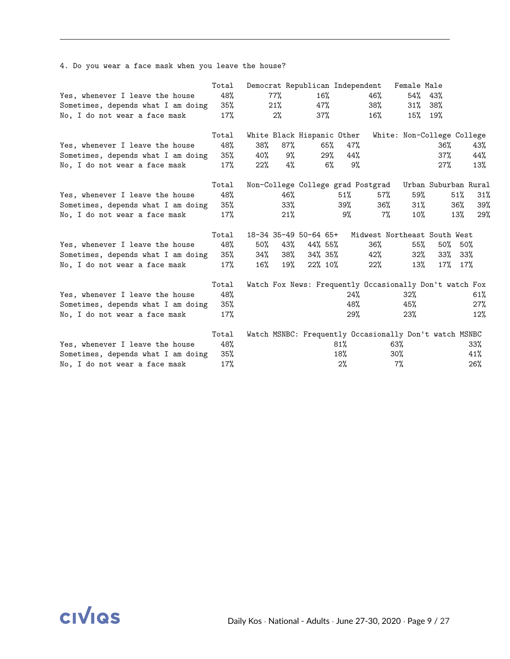|                                    | Total |     |        | Democrat Republican Independent |     |                                                         | Female Male |         |                            |
|------------------------------------|-------|-----|--------|---------------------------------|-----|---------------------------------------------------------|-------------|---------|----------------------------|
| Yes, whenever I leave the house    | 48%   |     | 77%    | $16\%$                          |     | 46%                                                     | $54\%$ 43%  |         |                            |
| Sometimes, depends what I am doing | 35%   |     | 21%    | 47%                             |     | 38%                                                     | 31%         | -38%    |                            |
| No, I do not wear a face mask      | 17%   |     | 2%     | $37\%$                          |     | $16\%$                                                  |             | 15% 19% |                            |
|                                    | Total |     |        | White Black Hispanic Other      |     |                                                         |             |         | White: Non-College College |
| Yes, whenever I leave the house    | 48%   | 38% | $87\%$ | 65%                             | 47% |                                                         |             | 36%     | 43%                        |
| Sometimes, depends what I am doing | 35%   | 40% | 9%     | $29\%$                          | 44% |                                                         |             | 37%     | 44%                        |
| No, I do not wear a face mask      | 17%   | 22% | 4%     | $6\%$                           | 9%  |                                                         |             | 27%     | 13%                        |
|                                    | Total |     |        |                                 |     | Non-College College grad Postgrad                       |             |         | Urban Suburban Rural       |
| Yes, whenever I leave the house    | 48%   |     | 46%    |                                 | 51% | $57\%$                                                  | 59%         |         | 51%<br>31%                 |
| Sometimes, depends what I am doing | 35%   |     | 33%    |                                 | 39% | 36%                                                     | 31%         |         | 39%<br>36%                 |
| No, I do not wear a face mask      | 17%   |     | 21%    |                                 | 9%  | $7\%$                                                   | $10\%$      |         | 13%<br>29%                 |
|                                    | Total |     |        | 18-34 35-49 50-64 65+           |     | Midwest Northeast South West                            |             |         |                            |
| Yes, whenever I leave the house    | 48%   | 50% | 43%    | 44% 55%                         |     | 36%                                                     | 55%         | 50%     | 50%                        |
| Sometimes, depends what I am doing | 35%   | 34% | 38%    | 34% 35%                         |     | 42%                                                     | 32%         | 33%     | 33%                        |
| No, I do not wear a face mask      | 17%   | 16% | 19%    | 22% 10%                         |     | $22\%$                                                  | 13%         | $17\%$  | 17%                        |
|                                    | Total |     |        |                                 |     | Watch Fox News: Frequently Occasionally Don't watch Fox |             |         |                            |
| Yes, whenever I leave the house    | 48%   |     |        |                                 | 24% |                                                         | 32%         |         | 61%                        |
| Sometimes, depends what I am doing | 35%   |     |        |                                 | 48% |                                                         | 45%         |         | 27%                        |
| No, I do not wear a face mask      | 17%   |     |        |                                 | 29% |                                                         | 23%         |         | 12%                        |
|                                    | Total |     |        |                                 |     | Watch MSNBC: Frequently Occasionally Don't watch MSNBC  |             |         |                            |
| Yes, whenever I leave the house    | 48%   |     |        |                                 | 81% | 63%                                                     |             |         | 33%                        |
| Sometimes, depends what I am doing | 35%   |     |        |                                 | 18% | $30\%$                                                  |             |         | 41%                        |
| No, I do not wear a face mask      | 17%   |     |        |                                 | 2%  |                                                         | $7\%$       |         | 26%                        |

4. Do you wear a face mask when you leave the house?

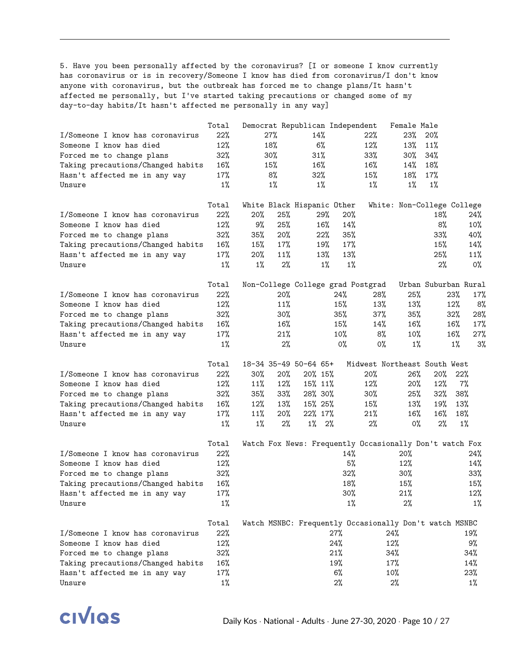5. Have you been personally affected by the coronavirus? [I or someone I know currently has coronavirus or is in recovery/Someone I know has died from coronavirus/I don't know anyone with coronavirus, but the outbreak has forced me to change plans/It hasn't affected me personally, but I've started taking precautions or changed some of my day-to-day habits/It hasn't affected me personally in any way]

|                                   | Total  | Democrat Republican Independent                         |        |          |        |                              | Female Male                |                      |       |        |
|-----------------------------------|--------|---------------------------------------------------------|--------|----------|--------|------------------------------|----------------------------|----------------------|-------|--------|
| I/Someone I know has coronavirus  | 22%    | 27%                                                     |        | 14%      |        | 22%                          | 23%                        | 20%                  |       |        |
| Someone I know has died           | 12%    | 18%                                                     |        | 6%       |        | 12%                          | 13%                        | 11%                  |       |        |
| Forced me to change plans         | 32%    | 30%                                                     |        | 31%      |        | $33\%$                       | 30%                        | 34%                  |       |        |
| Taking precautions/Changed habits | $16\%$ | 15%                                                     |        | 16%      |        | 16%                          | 14%                        | 18%                  |       |        |
| Hasn't affected me in any way     | 17%    | 8%                                                      |        | 32%      |        | 15%                          | 18%                        | 17%                  |       |        |
| Unsure                            | $1\%$  | $1\%$                                                   |        | $1\%$    |        | $1\%$                        | $1\%$                      | $1\%$                |       |        |
|                                   | Total  | White Black Hispanic Other                              |        |          |        |                              | White: Non-College College |                      |       |        |
| I/Someone I know has coronavirus  | $22\%$ | 20%                                                     | 25%    | $29\%$   | 20%    |                              |                            | 18%                  |       | 24%    |
| Someone I know has died           | 12%    | 9%                                                      | 25%    | 16%      | 14%    |                              |                            | 8%                   |       | $10\%$ |
| Forced me to change plans         | 32%    | 35%                                                     | 20%    | 22%      | 35%    |                              |                            | 33%                  |       | 40%    |
| Taking precautions/Changed habits | $16\%$ | 15%                                                     | 17%    | 19%      | 17%    |                              |                            | 15%                  |       | 14%    |
| Hasn't affected me in any way     | 17%    | 20%                                                     | 11%    | 13%      | 13%    |                              |                            | 25%                  |       | 11%    |
| Unsure                            | $1\%$  | $1\%$                                                   | 2%     | $1\%$    | $1\%$  |                              |                            | 2%                   |       | $0\%$  |
|                                   | Total  | Non-College College grad Postgrad                       |        |          |        |                              |                            | Urban Suburban Rural |       |        |
| I/Someone I know has coronavirus  | $22\%$ |                                                         | 20%    |          | 24%    | 28%                          | 25%                        |                      | 23%   | 17%    |
| Someone I know has died           | 12%    |                                                         | 11%    |          | 15%    | 13%                          | 13%                        |                      | 12%   | 8%     |
| Forced me to change plans         | 32%    |                                                         | 30%    |          | 35%    | 37%                          | 35%                        |                      | 32%   | 28%    |
| Taking precautions/Changed habits | 16%    |                                                         | 16%    |          | 15%    | 14%                          | 16%                        |                      | 16%   | 17%    |
|                                   | 17%    |                                                         | 21%    |          | 10%    | 8%                           | $10\%$                     |                      | 16%   | 27%    |
| Hasn't affected me in any way     | $1\%$  |                                                         | 2%     |          | $0\%$  |                              | $1\%$                      |                      |       |        |
| Unsure                            |        |                                                         |        |          |        | 0%                           |                            |                      | $1\%$ | 3%     |
|                                   | Total  | 18-34 35-49 50-64 65+                                   |        |          |        | Midwest Northeast South West |                            |                      |       |        |
| I/Someone I know has coronavirus  | 22%    | $30\%$                                                  | 20%    | 20% 15%  |        | 20%                          | 26%                        | $20\%$               | 22%   |        |
| Someone I know has died           | $12\%$ | 11%                                                     | 12%    | 15% 11%  |        | 12%                          | $20\%$                     | 12%                  | 7%    |        |
| Forced me to change plans         | 32%    | 35%                                                     | 33%    | 28% 30%  |        | $30\%$                       | 25%                        | 32%                  | 38%   |        |
| Taking precautions/Changed habits | 16%    | 12%                                                     | 13%    | 15% 25%  |        | 15%                          | 13%                        | 19%                  | 13%   |        |
| Hasn't affected me in any way     | 17%    | 11%                                                     | $20\%$ | 22% 17%  |        | 21%                          | 16%                        | 16%                  | 18%   |        |
| Unsure                            | $1\%$  | 1%                                                      | 2%     | $1\%$ 2% |        | $2\%$                        | 0%                         | $2\%$                | 1%    |        |
|                                   | Total  | Watch Fox News: Frequently Occasionally Don't watch Fox |        |          |        |                              |                            |                      |       |        |
| I/Someone I know has coronavirus  | 22%    |                                                         |        |          | 14%    |                              | 20%                        |                      |       | 24%    |
| Someone I know has died           | $12\%$ |                                                         |        |          | 5%     |                              | 12%                        |                      |       | 14%    |
| Forced me to change plans         | 32%    |                                                         |        |          | $32\%$ |                              | $30\%$                     |                      |       | $33\%$ |
| Taking precautions/Changed habits | $16\%$ |                                                         |        |          | 18%    |                              | 15%                        |                      |       | 15%    |
| Hasn't affected me in any way     | 17%    |                                                         |        |          | 30%    |                              | 21%                        |                      |       | $12\%$ |
| Unsure                            | $1\%$  |                                                         |        |          | $1\%$  |                              | $2\%$                      |                      |       | 1%     |
|                                   | Total  | Watch MSNBC: Frequently Occasionally Don't watch MSNBC  |        |          |        |                              |                            |                      |       |        |
| I/Someone I know has coronavirus  | 22%    |                                                         |        |          | 27%    |                              | 24%                        |                      |       | 19%    |
| Someone I know has died           | 12%    |                                                         |        |          | 24%    |                              | 12%                        |                      |       | 9%     |
| Forced me to change plans         | 32%    |                                                         |        |          | 21%    |                              | 34%                        |                      |       | 34%    |
| Taking precautions/Changed habits | 16%    |                                                         |        |          | 19%    |                              | 17%                        |                      |       | 14%    |
| Hasn't affected me in any way     | 17%    |                                                         |        |          | $6\%$  |                              | 10%                        |                      |       | $23\%$ |
| Unsure                            | $1\%$  |                                                         |        |          | $2\%$  |                              | $2\%$                      |                      |       | $1\%$  |
|                                   |        |                                                         |        |          |        |                              |                            |                      |       |        |

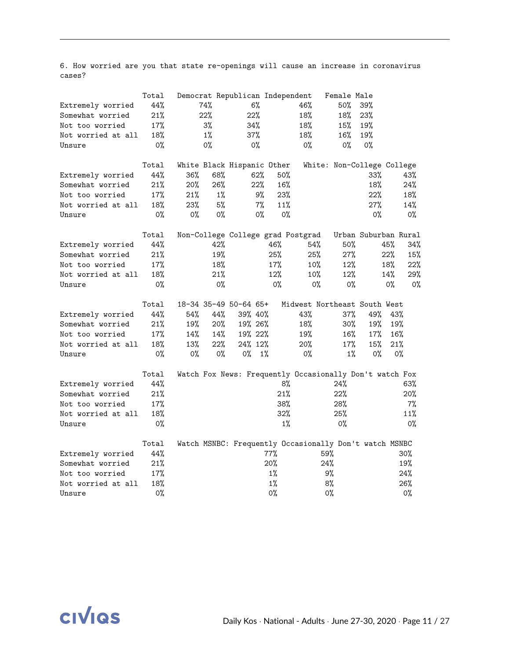6. How worried are you that state re-openings will cause an increase in coronavirus cases?

|                    | Total |       |       | Democrat Republican Independent |       |                                                         | Female Male                |                      |       |
|--------------------|-------|-------|-------|---------------------------------|-------|---------------------------------------------------------|----------------------------|----------------------|-------|
| Extremely worried  | 44%   |       | 74%   | 6%                              |       | 46%                                                     | 50%                        | 39%                  |       |
| Somewhat worried   | 21%   |       | 22%   | 22%                             |       | 18%                                                     | 18%                        | 23%                  |       |
| Not too worried    | 17%   |       | 3%    | 34%                             |       | 18%                                                     | 15%                        | 19%                  |       |
| Not worried at all | 18%   |       | $1\%$ | 37%                             |       | 18%                                                     | 16%                        | 19%                  |       |
| Unsure             | $0\%$ |       | $0\%$ | 0%                              |       | 0%                                                      | $0\%$                      | $0\%$                |       |
|                    | Total |       |       | White Black Hispanic Other      |       |                                                         | White: Non-College College |                      |       |
| Extremely worried  | 44%   | 36%   | 68%   | 62%                             |       | $50\%$                                                  |                            | 33%                  | 43%   |
| Somewhat worried   | 21%   | 20%   | 26%   | 22%                             |       | 16%                                                     |                            | 18%                  | 24%   |
| Not too worried    | 17%   | 21%   | 1%    | 9%                              |       | 23%                                                     |                            | 22%                  | 18%   |
| Not worried at all | 18%   | 23%   | 5%    | 7%                              |       | 11%                                                     |                            | 27%                  | 14%   |
| Unsure             | $0\%$ | $0\%$ | 0%    | 0%                              |       | $0\%$                                                   |                            | $0\%$                | $0\%$ |
|                    | Total |       |       |                                 |       | Non-College College grad Postgrad                       |                            | Urban Suburban Rural |       |
| Extremely worried  | 44%   |       | 42%   |                                 | 46%   | 54%                                                     | 50%                        | 45%                  | 34%   |
| Somewhat worried   | 21%   |       | 19%   |                                 | 25%   | 25%                                                     | 27%                        | 22%                  | 15%   |
| Not too worried    | 17%   |       | 18%   |                                 | 17%   | $10\%$                                                  | 12%                        | 18%                  | 22%   |
| Not worried at all | 18%   |       | 21%   |                                 | 12%   | $10\%$                                                  | 12%                        | 14%                  | 29%   |
| Unsure             | $0\%$ |       | $0\%$ |                                 | 0%    | $0\%$                                                   | $0\%$                      | 0%                   | $0\%$ |
|                    | Total |       |       | 18-34 35-49 50-64 65+           |       | Midwest Northeast South West                            |                            |                      |       |
| Extremely worried  | 44%   | 54%   | 44%   | 39% 40%                         |       | 43%                                                     | 37%                        | 49%                  | 43%   |
| Somewhat worried   | 21%   | 19%   | 20%   | 19% 26%                         |       | 18%                                                     | 30%                        | 19%                  | 19%   |
| Not too worried    | 17%   | 14%   | 14%   | 19% 22%                         |       | 19%                                                     | 16%                        | 17%                  | 16%   |
| Not worried at all | 18%   | 13%   | 22%   | 24% 12%                         |       | 20%                                                     | 17%                        | 15%                  | 21%   |
| Unsure             | 0%    | $0\%$ | $0\%$ | 0%                              | $1\%$ | 0%                                                      | $1\%$                      | 0%                   | $0\%$ |
|                    | Total |       |       |                                 |       | Watch Fox News: Frequently Occasionally Don't watch Fox |                            |                      |       |
| Extremely worried  | 44%   |       |       |                                 |       | 8%                                                      | 24%                        |                      | 63%   |
| Somewhat worried   | 21%   |       |       |                                 |       | 21%                                                     | 22%                        |                      | 20%   |
| Not too worried    | 17%   |       |       |                                 |       | 38%                                                     | 28%                        |                      | 7%    |
| Not worried at all | 18%   |       |       |                                 |       | $32\%$                                                  | 25%                        |                      | 11%   |
| Unsure             | 0%    |       |       |                                 |       | $1\%$                                                   | 0%                         |                      | 0%    |
|                    | Total |       |       |                                 |       | Watch MSNBC: Frequently Occasionally Don't watch MSNBC  |                            |                      |       |
| Extremely worried  | 44%   |       |       |                                 | 77%   |                                                         | 59%                        |                      | 30%   |
| Somewhat worried   | 21%   |       |       |                                 | 20%   |                                                         | 24%                        |                      | 19%   |
| Not too worried    | 17%   |       |       |                                 | $1\%$ |                                                         | 9%                         |                      | 24%   |
| Not worried at all | 18%   |       |       |                                 | $1\%$ |                                                         | 8%                         |                      | 26%   |
| Unsure             | 0%    |       |       |                                 | 0%    |                                                         | 0%                         |                      | $0\%$ |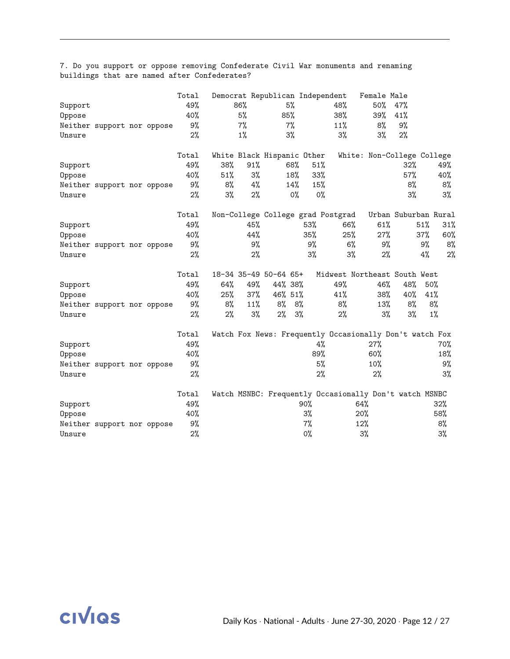|         |                            |  | Total | Democrat Republican Independent |       |       |         |     |       |                                                         |       | Female Male |                            |       |     |
|---------|----------------------------|--|-------|---------------------------------|-------|-------|---------|-----|-------|---------------------------------------------------------|-------|-------------|----------------------------|-------|-----|
| Support |                            |  | 49%   |                                 | 86%   |       | 5%      |     |       | 48%                                                     |       | 50%         | 47%                        |       |     |
| Oppose  |                            |  | 40%   |                                 | 5%    |       | 85%     |     |       | 38%                                                     |       | 39%         | 41%                        |       |     |
|         | Neither support nor oppose |  | 9%    |                                 | 7%    |       | 7%      |     |       | 11%                                                     |       | 8%          | 9%                         |       |     |
| Unsure  |                            |  | 2%    |                                 | $1\%$ |       | $3\%$   |     |       | 3%                                                      |       | $3\%$       | 2%                         |       |     |
|         |                            |  | Total | White Black Hispanic Other      |       |       |         |     |       |                                                         |       |             | White: Non-College College |       |     |
| Support |                            |  | 49%   | 38%                             | 91%   |       |         | 68% | 51%   |                                                         |       |             | 32%                        |       | 49% |
| Oppose  |                            |  | 40%   | 51%                             |       | 3%    |         | 18% | 33%   |                                                         |       |             | 57%                        |       | 40% |
|         | Neither support nor oppose |  | 9%    | 8%                              |       | 4%    |         | 14% | 15%   |                                                         |       |             | 8%                         |       | 8%  |
| Unsure  |                            |  | 2%    | $3\%$                           |       | 2%    |         | 0%  | 0%    |                                                         |       |             | 3%                         |       | 3%  |
|         |                            |  | Total |                                 |       |       |         |     |       | Non-College College grad Postgrad                       |       |             | Urban Suburban Rural       |       |     |
| Support |                            |  | 49%   |                                 | 45%   |       |         |     | 53%   | 66%                                                     |       | 61%         |                            | 51%   | 31% |
| Oppose  |                            |  | 40%   |                                 | 44%   |       |         |     | 35%   | 25%                                                     |       | 27%         |                            | 37%   | 60% |
|         | Neither support nor oppose |  | 9%    |                                 |       | 9%    |         |     | 9%    | $6\%$                                                   |       | 9%          |                            | 9%    | 8%  |
| Unsure  |                            |  | 2%    |                                 |       | 2%    |         |     | 3%    | $3\%$                                                   |       | 2%          |                            | 4%    | 2%  |
|         |                            |  | Total | 18-34 35-49 50-64 65+           |       |       |         |     |       | Midwest Northeast South West                            |       |             |                            |       |     |
| Support |                            |  | 49%   | 64%                             | 49%   |       | 44% 38% |     |       | 49%                                                     |       | 46%         | 48%                        | 50%   |     |
| Oppose  |                            |  | 40%   | 25%                             | 37%   |       | 46% 51% |     |       | 41%                                                     |       | 38%         | 40%                        | 41%   |     |
|         | Neither support nor oppose |  | 9%    | 8%                              | 11%   |       | 8%      | 8%  |       | 8%                                                      |       | 13%         | 8%                         | 8%    |     |
| Unsure  |                            |  | 2%    | $2\%$                           |       | $3\%$ | 2%      | 3%  |       | 2%                                                      |       | 3%          | 3%                         | $1\%$ |     |
|         |                            |  | Total |                                 |       |       |         |     |       | Watch Fox News: Frequently Occasionally Don't watch Fox |       |             |                            |       |     |
| Support |                            |  | 49%   |                                 |       |       |         |     | 4%    |                                                         |       | 27%         |                            |       | 70% |
| Oppose  |                            |  | 40%   |                                 |       |       |         |     | 89%   |                                                         |       | 60%         |                            |       | 18% |
|         | Neither support nor oppose |  | 9%    |                                 |       |       |         |     | 5%    |                                                         |       | $10\%$      |                            |       | 9%  |
| Unsure  |                            |  | 2%    |                                 |       |       |         |     | 2%    |                                                         |       | 2%          |                            |       | 3%  |
|         |                            |  | Total |                                 |       |       |         |     |       | Watch MSNBC: Frequently Occasionally Don't watch MSNBC  |       |             |                            |       |     |
| Support |                            |  | 49%   |                                 |       |       |         |     | 90%   |                                                         | 64%   |             |                            |       | 32% |
| Oppose  |                            |  | 40%   |                                 |       |       |         |     | $3\%$ |                                                         | 20%   |             |                            |       | 58% |
|         | Neither support nor oppose |  | 9%    |                                 |       |       |         |     | $7\%$ |                                                         | 12%   |             |                            |       | 8%  |
| Unsure  |                            |  | 2%    |                                 |       |       |         |     | 0%    |                                                         | $3\%$ |             |                            |       | 3%  |

7. Do you support or oppose removing Confederate Civil War monuments and renaming buildings that are named after Confederates?

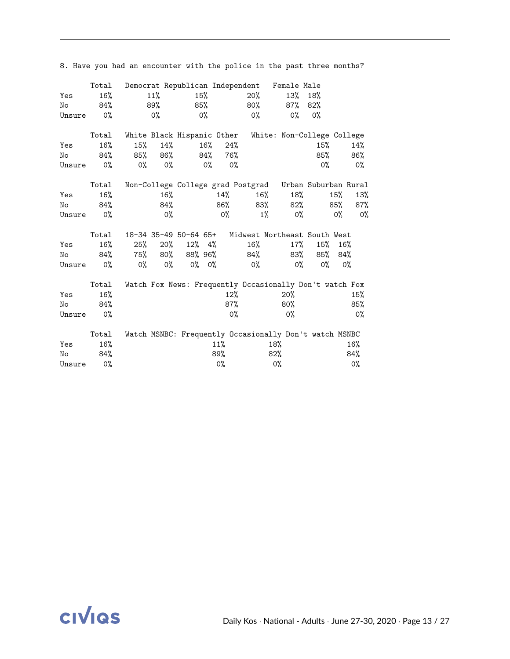|        | Total |        |         |                            |           |       |       | Democrat Republican Independent Female Male             |        |       |       |
|--------|-------|--------|---------|----------------------------|-----------|-------|-------|---------------------------------------------------------|--------|-------|-------|
| Yes    | 16%   |        | 11%     |                            | 15%       |       | 20%   | 13%                                                     | 18%    |       |       |
| No     | 84%   |        | 89%     |                            | 85%       |       | 80%   | 87%                                                     | 82%    |       |       |
| Unsure | $0\%$ |        | $0\%$   |                            | $0\%$     |       | $0\%$ | $0\%$                                                   | $0\%$  |       |       |
|        | Total |        |         | White Black Hispanic Other |           |       |       | White: Non-College College                              |        |       |       |
| Yes    | 16%   | 15%    | 14%     |                            | 16%       | 24%   |       |                                                         | $15\%$ |       | 14%   |
| No     | 84%   |        | 85% 86% |                            | 84%       | 76%   |       |                                                         | $85\%$ |       | 86%   |
| Unsure | 0%    | 0%     | $0\%$   |                            | 0%        | 0%    |       |                                                         | 0%     |       | 0%    |
|        | Total |        |         |                            |           |       |       | Non-College College grad Postgrad Urban Suburban Rural  |        |       |       |
| Yes    | 16%   |        | 16%     |                            |           | 14%   | 16%   | 18%                                                     |        | 15%   | 13%   |
| No     | 84%   |        | 84%     |                            |           | 86%   | 83%   | 82%                                                     |        | 85%   | 87%   |
| Unsure | 0%    |        | $0\%$   |                            |           | $0\%$ | 1%    | 0%                                                      |        | $0\%$ | 0%    |
|        | Total |        |         | 18-34 35-49 50-64 65+      |           |       |       | Midwest Northeast South West                            |        |       |       |
| Yes    | 16%   | $25\%$ | 20%     |                            | $12\%$ 4% |       | 16%   | $17\%$                                                  | 15%    | 16%   |       |
| No     | 84%   | 75%    | 80%     | 88% 96%                    |           |       | 84%   | 83%                                                     | 85%    | 84%   |       |
| Unsure | $0\%$ | $0\%$  | $0\%$   |                            | $0\%$ 0%  |       | $0\%$ | $0\%$                                                   | 0%     |       | $0\%$ |
|        | Total |        |         |                            |           |       |       | Watch Fox News: Frequently Occasionally Don't watch Fox |        |       |       |
| Yes    | 16%   |        |         |                            |           | 12%   |       | 20%                                                     |        |       | 15%   |
| No     | 84%   |        |         |                            |           | 87%   |       | $80\%$                                                  |        |       | 85%   |
| Unsure | $0\%$ |        |         |                            |           | $0\%$ |       | $0\%$                                                   |        |       | $0\%$ |
|        | Total |        |         |                            |           |       |       | Watch MSNBC: Frequently Occasionally Don't watch MSNBC  |        |       |       |
| Yes    | 16%   |        |         |                            | 11%       |       |       | 18%                                                     |        |       | 16%   |
| No     | 84%   |        |         |                            | 89%       |       |       | 82%                                                     |        |       | 84%   |
| Unsure | 0%    |        |         |                            |           | 0%    |       | 0%                                                      |        |       | 0%    |

8. Have you had an encounter with the police in the past three months?

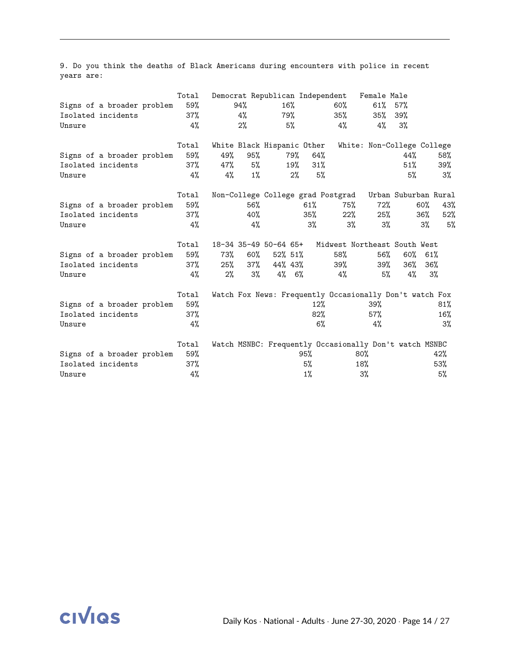9. Do you think the deaths of Black Americans during encounters with police in recent years are:

|        |                            | Total  |       |       | Democrat Republican Independent |          |     |                                                         | Female Male |                      |        |     |
|--------|----------------------------|--------|-------|-------|---------------------------------|----------|-----|---------------------------------------------------------|-------------|----------------------|--------|-----|
|        | Signs of a broader problem | 59%    |       | 94%   | $16\%$                          |          |     | $60\%$                                                  | $61\%$      | 57%                  |        |     |
|        | Isolated incidents         | $37\%$ |       | 4%    | 79%                             |          |     | 35%                                                     | $35\%$      | 39%                  |        |     |
| Unsure |                            | 4%     |       | $2\%$ |                                 | 5%       |     | 4%                                                      | 4%          | 3%                   |        |     |
|        |                            | Total  |       |       | White Black Hispanic Other      |          |     | White: Non-College College                              |             |                      |        |     |
|        | Signs of a broader problem | 59%    | 49%   | 95%   |                                 | 79%      | 64% |                                                         |             | 44%                  |        | 58% |
|        | Isolated incidents         | 37%    | 47%   | 5%    |                                 | 19%      | 31% |                                                         |             | 51%                  |        | 39% |
| Unsure |                            | 4%     | 4%    | $1\%$ |                                 | $2\%$    | 5%  |                                                         |             | 5%                   |        | 3%  |
|        |                            | Total  |       |       |                                 |          |     | Non-College College grad Postgrad                       |             | Urban Suburban Rural |        |     |
|        | Signs of a broader problem | 59%    |       | 56%   |                                 |          | 61% | 75%                                                     | 72%         |                      | $60\%$ | 43% |
|        | Isolated incidents         | 37%    |       | 40%   |                                 |          | 35% | 22%                                                     | 25%         |                      | $36\%$ | 52% |
| Unsure |                            | 4%     |       | 4%    |                                 |          | 3%  | 3%                                                      | 3%          |                      | $3\%$  | 5%  |
|        |                            | Total  |       |       | 18-34 35-49 50-64 65+           |          |     | Midwest Northeast South West                            |             |                      |        |     |
|        | Signs of a broader problem | 59%    | 73%   | 60%   | $52\%$ 51%                      |          |     | 58%                                                     | 56%         | 60%                  | 61%    |     |
|        | Isolated incidents         | $37\%$ | 25%   | 37%   | 44% 43%                         |          |     | 39%                                                     | 39%         | 36%                  | 36%    |     |
| Unsure |                            | 4%     | $2\%$ | 3%    |                                 | $4\%$ 6% |     | 4%                                                      | 5%          | 4%                   | 3%     |     |
|        |                            | Total  |       |       |                                 |          |     | Watch Fox News: Frequently Occasionally Don't watch Fox |             |                      |        |     |
|        | Signs of a broader problem | 59%    |       |       |                                 |          | 12% |                                                         | 39%         |                      |        | 81% |
|        | Isolated incidents         | 37%    |       |       |                                 |          | 82% |                                                         | 57%         |                      |        | 16% |
| Unsure |                            | 4%     |       |       |                                 |          | 6%  |                                                         | 4%          |                      |        | 3%  |
|        |                            | Total  |       |       |                                 |          |     | Watch MSNBC: Frequently Occasionally Don't watch MSNBC  |             |                      |        |     |
|        | Signs of a broader problem | 59%    |       |       |                                 | 95%      |     | 80%                                                     |             |                      |        | 42% |
|        | Isolated incidents         | 37%    |       |       |                                 |          | 5%  | 18%                                                     |             |                      |        | 53% |
| Unsure |                            | 4%     |       |       |                                 |          | 1%  | 3%                                                      |             |                      |        | 5%  |

**CIVIQS**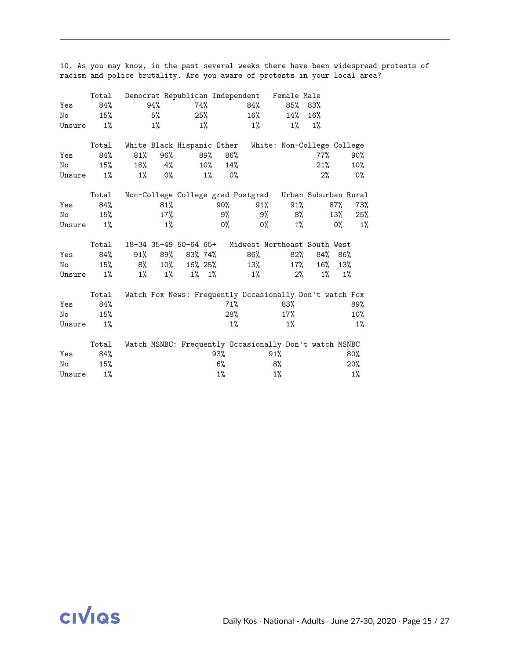|        | Total |                            |         |         |             |       |       | Democrat Republican Independent Female Male             |         |       |        |
|--------|-------|----------------------------|---------|---------|-------------|-------|-------|---------------------------------------------------------|---------|-------|--------|
| Yes    | 84%   |                            | 94%     |         | 74%         |       | 84%   |                                                         | 85% 83% |       |        |
| No     | 15%   |                            | 5%      |         | 25%         |       | 16%   | 14%                                                     | 16%     |       |        |
| Unsure | $1\%$ |                            | 1%      |         | $1\%$       |       | $1\%$ | $1\%$                                                   | 1%      |       |        |
|        | Total | White Black Hispanic Other |         |         |             |       |       | White: Non-College College                              |         |       |        |
| Yes    | 84%   | $81\%$                     | 96%     |         | 89%         | 86%   |       |                                                         | $77\%$  |       | 90%    |
| No     | 15%   | 18%                        | 4%      |         | $10\%$      | 14%   |       |                                                         | 21%     |       | $10\%$ |
| Unsure | $1\%$ | $1\%$                      | 0%      |         | 1%          | 0%    |       |                                                         | $2\%$   |       | $0\%$  |
|        | Total |                            |         |         |             |       |       | Non-College College grad Postgrad Urban Suburban Rural  |         |       |        |
| Yes    | 84%   |                            | 81%     |         |             | 90%   | 91%   | $91\%$                                                  |         | 87%   | 73%    |
| No     | 15%   |                            | $17\%$  |         |             | 9%    | 9%    | 8%                                                      |         | 13%   | 25%    |
| Unsure | $1\%$ |                            | $1\%$   |         |             | $0\%$ | $0\%$ | $1\%$                                                   |         | $0\%$ | $1\%$  |
|        | Total |                            |         |         |             |       |       | 18-34 35-49 50-64 65+ Midwest Northeast South West      |         |       |        |
| Yes    | 84%   |                            | 91% 89% | 83% 74% |             |       | 86%   | 82%                                                     | 84%     | 86%   |        |
| No     | 15%   | 8%                         | $10\%$  | 16% 25% |             |       | 13%   | $17\%$                                                  | 16%     | 13%   |        |
| Unsure | $1\%$ | $1\%$                      | $1\%$   |         | $1\%$ $1\%$ |       | $1\%$ | 2%                                                      | $1\%$   |       | 1%     |
|        | Total |                            |         |         |             |       |       | Watch Fox News: Frequently Occasionally Don't watch Fox |         |       |        |
| Yes    | 84%   |                            |         |         |             | 71%   |       | 83%                                                     |         |       | 89%    |
| No     | 15%   |                            |         |         |             | 28%   |       | 17%                                                     |         |       | 10%    |
| Unsure | $1\%$ |                            |         |         |             | $1\%$ |       | $1\%$                                                   |         |       | $1\%$  |
|        | Total |                            |         |         |             |       |       | Watch MSNBC: Frequently Occasionally Don't watch MSNBC  |         |       |        |
| Yes    | 84%   |                            |         |         | 93%         |       |       | 91%                                                     |         |       | 80%    |
| No     | 15%   |                            |         |         |             | 6%    |       | 8%                                                      |         |       | 20%    |
| Unsure | $1\%$ |                            |         |         |             | $1\%$ |       | $1\%$                                                   |         |       | $1\%$  |

10. As you may know, in the past several weeks there have been widespread protests of racism and police brutality. Are you aware of protests in your local area?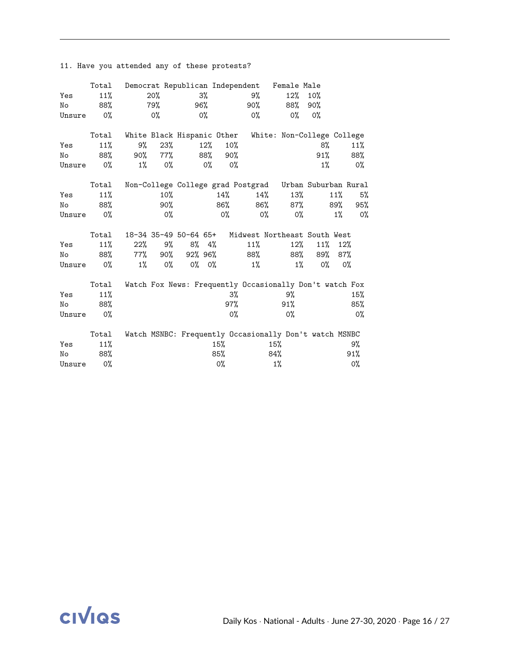|        | Total |                            |       |    |         |        | Democrat Republican Independent | Female Male                                             |       |       |       |
|--------|-------|----------------------------|-------|----|---------|--------|---------------------------------|---------------------------------------------------------|-------|-------|-------|
| Yes    | 11%   |                            | 20%   |    | 3%      |        | 9%                              | $12\%$                                                  | 10%   |       |       |
| No     | 88%   |                            | 79%   |    | 96%     |        | 90%                             | 88%                                                     | 90%   |       |       |
| Unsure | 0%    |                            | $0\%$ |    | 0%      |        | $0\%$                           | 0%                                                      | 0%    |       |       |
|        | Total | White Black Hispanic Other |       |    |         |        |                                 | White: Non-College College                              |       |       |       |
| Yes    | 11%   | 9%                         | 23%   |    | $12\%$  | $10\%$ |                                 |                                                         | 8%    |       | 11%   |
| No     | 88%   | 90%                        | 77%   |    | 88%     | 90%    |                                 |                                                         | 91%   |       | 88%   |
| Unsure | 0%    | $1\%$                      | 0%    |    | 0%      | 0%     |                                 |                                                         | $1\%$ |       | 0%    |
|        | Total |                            |       |    |         |        |                                 | Non-College College grad Postgrad Urban Suburban Rural  |       |       |       |
| Yes    | 11%   |                            | 10%   |    |         | $14\%$ | 14%                             | 13%                                                     |       | 11%   | 5%    |
| No     | 88%   |                            | 90%   |    |         | 86%    | 86%                             | 87%                                                     |       | 89%   | 95%   |
| Unsure | 0%    |                            | 0%    |    |         | 0%     | 0%                              | 0%                                                      |       | $1\%$ | 0%    |
|        | Total | 18-34 35-49 50-64 65+      |       |    |         |        |                                 | Midwest Northeast South West                            |       |       |       |
| Yes    | 11%   | 22%                        | 9%    | 8% | 4%      |        | 11%                             | $12\%$                                                  | 11%   | 12%   |       |
| No     | 88%   | $77\%$                     | 90%   |    | 92% 96% |        | 88%                             | 88%                                                     | 89%   | 87%   |       |
| Unsure | 0%    | $1\%$                      | 0%    |    | 0% 0%   |        | 1%                              | $1\%$                                                   | 0%    |       | $0\%$ |
|        | Total |                            |       |    |         |        |                                 | Watch Fox News: Frequently Occasionally Don't watch Fox |       |       |       |
| Yes    | 11%   |                            |       |    |         | 3%     |                                 | 9%                                                      |       |       | 15%   |
| No     | 88%   |                            |       |    |         | 97%    |                                 | 91%                                                     |       |       | 85%   |
| Unsure | 0%    |                            |       |    |         | 0%     |                                 | 0%                                                      |       |       | $0\%$ |
|        | Total |                            |       |    |         |        |                                 | Watch MSNBC: Frequently Occasionally Don't watch MSNBC  |       |       |       |
| Yes    | 11%   |                            |       |    |         | 15%    |                                 | 15%                                                     |       |       | 9%    |
| No     | 88%   |                            |       |    |         | 85%    |                                 | 84%                                                     |       |       | 91%   |
| Unsure | 0%    |                            |       |    |         | 0%     |                                 | $1\%$                                                   |       |       | 0%    |

11. Have you attended any of these protests?

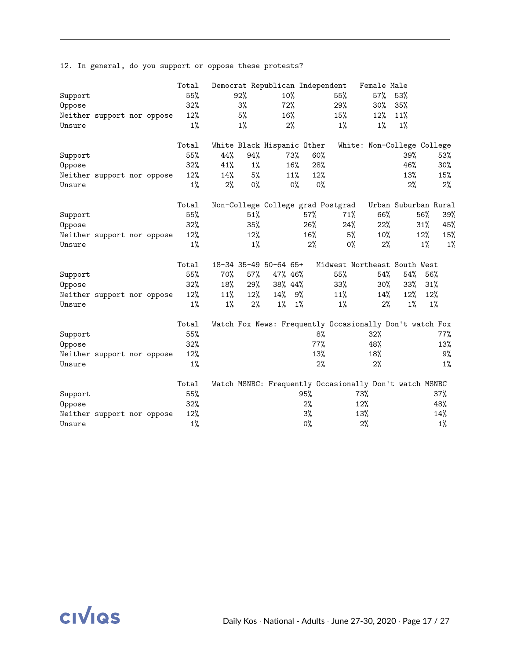12. In general, do you support or oppose these protests?

|         |                            |  | Total |       |       |                            |       | Democrat Republican Independent                         | Female Male                  |        |                      |
|---------|----------------------------|--|-------|-------|-------|----------------------------|-------|---------------------------------------------------------|------------------------------|--------|----------------------|
| Support |                            |  | 55%   |       | 92%   | 10%                        |       | 55%                                                     | 57%                          | 53%    |                      |
| Oppose  |                            |  | 32%   |       | 3%    | 72%                        |       | 29%                                                     | $30\%$                       | 35%    |                      |
|         | Neither support nor oppose |  | 12%   |       | 5%    | 16%                        |       | 15%                                                     | $12\%$                       | 11%    |                      |
| Unsure  |                            |  | $1\%$ |       | $1\%$ | 2%                         |       | $1\%$                                                   | $1\%$                        | $1\%$  |                      |
|         |                            |  |       |       |       |                            |       |                                                         |                              |        |                      |
|         |                            |  | Total |       |       | White Black Hispanic Other |       |                                                         | White: Non-College College   |        |                      |
| Support |                            |  | 55%   | 44%   | 94%   |                            | 73%   | 60%                                                     |                              | 39%    | 53%                  |
| Oppose  |                            |  | 32%   | 41%   | $1\%$ |                            | 16%   | 28%                                                     |                              | 46%    | $30\%$               |
|         | Neither support nor oppose |  | 12%   | 14%   | 5%    |                            | 11%   | 12%                                                     |                              | 13%    | 15%                  |
| Unsure  |                            |  | $1\%$ | $2\%$ | 0%    |                            | $0\%$ | $0\%$                                                   |                              | 2%     | 2%                   |
|         |                            |  | Total |       |       |                            |       | Non-College College grad Postgrad                       |                              |        | Urban Suburban Rural |
| Support |                            |  | 55%   |       | 51%   |                            | 57%   | 71%                                                     | 66%                          |        | 39%<br>56%           |
| Oppose  |                            |  | 32%   |       | 35%   |                            | 26%   | 24%                                                     | 22%                          |        | 31%<br>45%           |
|         | Neither support nor oppose |  | 12%   |       | 12%   |                            | 16%   |                                                         | 5%<br>10%                    |        | 15%<br>12%           |
| Unsure  |                            |  | $1\%$ |       | $1\%$ |                            |       | 2%                                                      | 0%<br>2%                     |        | 1%<br>$1\%$          |
|         |                            |  |       |       |       |                            |       |                                                         |                              |        |                      |
|         |                            |  | Total |       |       | 18-34 35-49 50-64 65+      |       |                                                         | Midwest Northeast South West |        |                      |
| Support |                            |  | 55%   | 70%   | 57%   | 47% 46%                    |       | 55%                                                     | 54%                          | 54%    | 56%                  |
| Oppose  |                            |  | 32%   | 18%   | 29%   | 38% 44%                    |       | 33%                                                     | $30\%$                       | $33\%$ | 31%                  |
|         | Neither support nor oppose |  | 12%   | 11%   | 12%   | 14%                        | 9%    | 11%                                                     | 14%                          | $12\%$ | 12%                  |
| Unsure  |                            |  | $1\%$ | $1\%$ | $2\%$ | $1\%$                      | $1\%$ | $1\%$                                                   | 2%                           | 1%     | 1%                   |
|         |                            |  | Total |       |       |                            |       | Watch Fox News: Frequently Occasionally Don't watch Fox |                              |        |                      |
| Support |                            |  | 55%   |       |       |                            |       | 8%                                                      | 32%                          |        | 77%                  |
| Oppose  |                            |  | 32%   |       |       |                            |       | 77%                                                     | 48%                          |        | 13%                  |
|         | Neither support nor oppose |  | 12%   |       |       |                            |       | 13%                                                     | 18%                          |        | 9%                   |
| Unsure  |                            |  | $1\%$ |       |       |                            |       | 2%                                                      | 2%                           |        | $1\%$                |
|         |                            |  |       |       |       |                            |       |                                                         |                              |        |                      |
|         |                            |  | Total |       |       |                            |       | Watch MSNBC: Frequently Occasionally Don't watch MSNBC  |                              |        |                      |
| Support |                            |  | 55%   |       |       |                            | 95%   |                                                         | 73%                          |        | 37%                  |
| Oppose  |                            |  | 32%   |       |       |                            | 2%    |                                                         | 12%                          |        | 48%                  |
|         | Neither support nor oppose |  | 12%   |       |       |                            | 3%    |                                                         | 13%                          |        | 14%                  |
| Unsure  |                            |  | $1\%$ |       |       |                            | $0\%$ |                                                         | 2%                           |        | $1\%$                |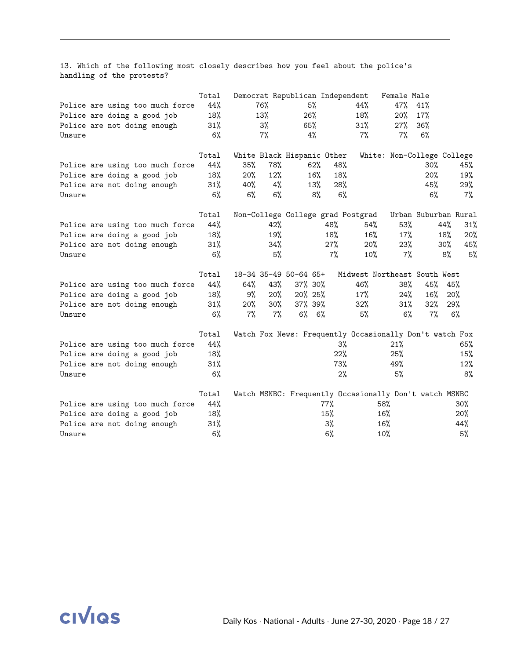13. Which of the following most closely describes how you feel about the police's handling of the protests?

|        |                                 | Total  |     |       | Democrat Republican Independent |             |        |                                                         | Female Male                |                      |     |       |
|--------|---------------------------------|--------|-----|-------|---------------------------------|-------------|--------|---------------------------------------------------------|----------------------------|----------------------|-----|-------|
|        | Police are using too much force | 44%    |     | 76%   |                                 | 5%          |        | 44%                                                     | 47%                        | 41%                  |     |       |
|        | Police are doing a good job     | 18%    |     | 13%   | 26%                             |             |        | 18%                                                     | 20%                        | 17%                  |     |       |
|        | Police are not doing enough     | 31%    |     | 3%    | 65%                             |             |        | 31%                                                     | 27%                        | 36%                  |     |       |
| Unsure |                                 | 6%     |     | $7\%$ |                                 | 4%          |        | $7\%$                                                   | 7%                         | 6%                   |     |       |
|        |                                 | Total  |     |       | White Black Hispanic Other      |             |        |                                                         | White: Non-College College |                      |     |       |
|        | Police are using too much force | 44%    | 35% | 78%   |                                 | 62%         | 48%    |                                                         |                            | $30\%$               |     | 45%   |
|        | Police are doing a good job     | 18%    | 20% | 12%   |                                 | 16%         | 18%    |                                                         |                            | 20%                  |     | 19%   |
|        | Police are not doing enough     | 31%    | 40% | 4%    |                                 | 13%         | 28%    |                                                         |                            | 45%                  |     | 29%   |
| Unsure |                                 | 6%     | 6%  | 6%    |                                 | 8%          | 6%     |                                                         |                            | $6\%$                |     | $7\%$ |
|        |                                 | Total  |     |       |                                 |             |        | Non-College College grad Postgrad                       |                            | Urban Suburban Rural |     |       |
|        | Police are using too much force | 44%    |     | 42%   |                                 |             | 48%    | 54%                                                     | 53%                        |                      | 44% | 31%   |
|        | Police are doing a good job     | 18%    |     | 19%   |                                 |             | 18%    | 16%                                                     | $17\%$                     |                      | 18% | 20%   |
|        | Police are not doing enough     | 31%    |     | 34%   |                                 |             | $27\%$ | $20\%$                                                  | 23%                        |                      | 30% | 45%   |
| Unsure |                                 | 6%     |     | 5%    |                                 |             | $7\%$  | 10%                                                     | 7%                         |                      | 8%  | 5%    |
|        |                                 | Total  |     |       | 18-34 35-49 50-64 65+           |             |        | Midwest Northeast South West                            |                            |                      |     |       |
|        | Police are using too much force | 44%    | 64% | 43%   | 37% 30%                         |             |        | 46%                                                     | 38%                        | 45%                  | 45% |       |
|        | Police are doing a good job     | 18%    | 9%  | 20%   | 20% 25%                         |             |        | 17%                                                     | $24\%$                     | 16%                  | 20% |       |
|        | Police are not doing enough     | 31%    | 20% | 30%   | 37% 39%                         |             |        | $32\%$                                                  | $31\%$                     | 32%                  | 29% |       |
| Unsure |                                 | 6%     | 7%  | $7\%$ |                                 | $6\%$ $6\%$ |        | 5%                                                      | 6%                         | $7\%$                |     | 6%    |
|        |                                 | Total  |     |       |                                 |             |        | Watch Fox News: Frequently Occasionally Don't watch Fox |                            |                      |     |       |
|        | Police are using too much force | 44%    |     |       |                                 |             | 3%     |                                                         | 21%                        |                      |     | 65%   |
|        | Police are doing a good job     | 18%    |     |       |                                 |             | 22%    |                                                         | 25%                        |                      |     | 15%   |
|        | Police are not doing enough     | 31%    |     |       |                                 |             | 73%    |                                                         | 49%                        |                      |     | 12%   |
| Unsure |                                 | 6%     |     |       |                                 |             | 2%     |                                                         | 5%                         |                      |     | 8%    |
|        |                                 | Total  |     |       |                                 |             |        | Watch MSNBC: Frequently Occasionally Don't watch MSNBC  |                            |                      |     |       |
|        | Police are using too much force | 44%    |     |       |                                 | 77%         |        |                                                         | 58%                        |                      |     | 30%   |
|        | Police are doing a good job     | 18%    |     |       |                                 | 15%         |        |                                                         | 16%                        |                      |     | 20%   |
|        | Police are not doing enough     | $31\%$ |     |       |                                 | 3%          |        |                                                         | 16%                        |                      |     | 44%   |
| Unsure |                                 | 6%     |     |       |                                 | 6%          |        |                                                         | 10%                        |                      |     | 5%    |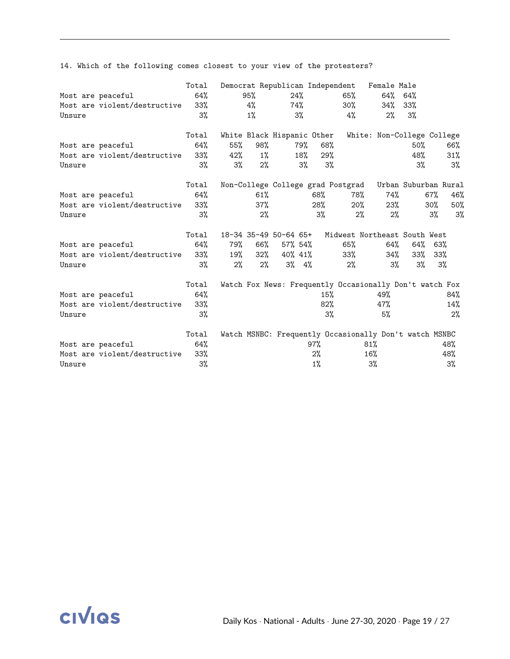14. Which of the following comes closest to your view of the protesters?

|        |                              | Total  |     |        |                            |       | Democrat Republican Independent                         | Female Male                |     |                      |
|--------|------------------------------|--------|-----|--------|----------------------------|-------|---------------------------------------------------------|----------------------------|-----|----------------------|
|        | Most are peaceful            | $64\%$ |     | 95%    | 24%                        |       | 65%                                                     | 64% 64%                    |     |                      |
|        | Most are violent/destructive | 33%    |     | 4%     |                            | 74%   | 30%                                                     | 34%                        | 33% |                      |
| Unsure |                              | $3\%$  |     | $1\%$  | 3%                         |       | 4%                                                      | 2%                         | 3%  |                      |
|        |                              | Total  |     |        | White Black Hispanic Other |       |                                                         | White: Non-College College |     |                      |
|        | Most are peaceful            | 64%    | 55% | 98%    | 79%                        |       | 68%                                                     |                            | 50% | 66%                  |
|        | Most are violent/destructive | 33%    | 42% | $1\%$  |                            | 18%   | 29%                                                     |                            | 48% | 31%                  |
| Unsure |                              | $3\%$  | 3%  | 2%     |                            | $3\%$ | 3%                                                      |                            | 3%  | $3\%$                |
|        |                              | Total  |     |        |                            |       | Non-College College grad Postgrad                       |                            |     | Urban Suburban Rural |
|        | Most are peaceful            | 64%    |     | 61%    |                            | 68%   | 78%                                                     | 74%                        |     | $67\%$<br>46%        |
|        | Most are violent/destructive | 33%    |     | 37%    |                            | 28%   | $20\%$                                                  | 23%                        |     | 50%<br>$30\%$        |
| Unsure |                              | $3\%$  |     | 2%     |                            | $3\%$ | 2%                                                      | 2%                         |     | 3%<br>$3\%$          |
|        |                              | Total  |     |        |                            |       | 18-34 35-49 50-64 65+ Midwest Northeast South West      |                            |     |                      |
|        | Most are peaceful            | 64%    | 79% | 66%    | 57% 54%                    |       | 65%                                                     | 64%                        |     | 64% 63%              |
|        | Most are violent/destructive | $33\%$ | 19% | $32\%$ | 40% 41%                    |       | 33%                                                     | 34%                        | 33% | $33\%$               |
| Unsure |                              | 3%     | 2%  | $2\%$  | $3\%$ $4\%$                |       | 2%                                                      | 3%                         | 3%  | 3%                   |
|        |                              | Total  |     |        |                            |       | Watch Fox News: Frequently Occasionally Don't watch Fox |                            |     |                      |
|        | Most are peaceful            | 64%    |     |        |                            |       | 15%                                                     | 49%                        |     | 84%                  |
|        | Most are violent/destructive | $33\%$ |     |        |                            |       | 82%                                                     | 47%                        |     | 14%                  |
| Unsure |                              | 3%     |     |        |                            |       | $3\%$                                                   | 5%                         |     | 2%                   |
|        |                              | Total  |     |        |                            |       | Watch MSNBC: Frequently Occasionally Don't watch MSNBC  |                            |     |                      |
|        | Most are peaceful            | 64%    |     |        |                            | 97%   |                                                         | 81%                        |     | 48%                  |
|        | Most are violent/destructive | $33\%$ |     |        |                            | 2%    |                                                         | 16%                        |     | 48%                  |
| Unsure |                              | 3%     |     |        |                            | $1\%$ |                                                         | 3%                         |     | 3%                   |

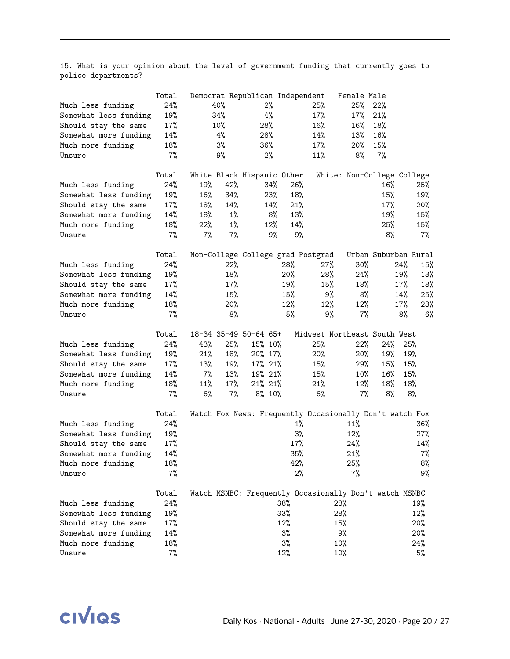15. What is your opinion about the level of government funding that currently goes to police departments?

|                       | Total | Democrat Republican Independent |       |         |       |                                                         | Female Male |        |                            |
|-----------------------|-------|---------------------------------|-------|---------|-------|---------------------------------------------------------|-------------|--------|----------------------------|
| Much less funding     | 24%   | 40%                             |       | 2%      |       | 25%                                                     | 25%         | 22%    |                            |
| Somewhat less funding | 19%   | 34%                             |       | 4%      |       | 17%                                                     | 17%         | 21%    |                            |
| Should stay the same  | 17%   | 10%                             |       | 28%     |       | 16%                                                     | 16%         | 18%    |                            |
| Somewhat more funding | 14%   | 4%                              |       | 28%     |       | 14%                                                     | 13%         | 16%    |                            |
| Much more funding     | 18%   | $3\%$                           |       | 36%     |       | 17%                                                     | $20\%$      | 15%    |                            |
| Unsure                | $7\%$ | 9%                              |       | 2%      |       | 11%                                                     | 8%          | $7\%$  |                            |
|                       | Total | White Black Hispanic Other      |       |         |       |                                                         |             |        | White: Non-College College |
| Much less funding     | 24%   | 19%                             | 42%   | 34%     | 26%   |                                                         |             | 16%    | 25%                        |
| Somewhat less funding | 19%   | 16%                             | 34%   | 23%     | 18%   |                                                         |             | 15%    | 19%                        |
| Should stay the same  | 17%   | 18%                             | 14%   | 14%     | 21%   |                                                         |             | 17%    | $20\%$                     |
| Somewhat more funding | 14%   | 18%                             | $1\%$ | 8%      | 13%   |                                                         |             | 19%    | 15%                        |
| Much more funding     | 18%   | 22%                             | $1\%$ | 12%     | 14%   |                                                         |             | 25%    | 15%                        |
| Unsure                | 7%    | 7%                              | 7%    | 9%      | 9%    |                                                         |             | 8%     | $7\%$                      |
|                       | Total |                                 |       |         |       | Non-College College grad Postgrad                       |             |        | Urban Suburban Rural       |
| Much less funding     | 24%   |                                 | 22%   |         | 28%   | 27%                                                     | 30%         |        | 24%<br>15%                 |
| Somewhat less funding | 19%   |                                 | 18%   |         | 20%   | 28%                                                     | 24%         |        | 19%<br>13%                 |
| Should stay the same  | 17%   |                                 | 17%   |         | 19%   | 15%                                                     | 18%         |        | $17\%$<br>18%              |
| Somewhat more funding | 14%   |                                 | 15%   |         | 15%   | 9%                                                      | 8%          |        | 14%<br>25%                 |
| Much more funding     | 18%   |                                 | 20%   |         | 12%   | 12%                                                     | 12%         |        | 17%<br>23%                 |
| Unsure                | 7%    |                                 | 8%    |         | 5%    | 9%                                                      | $7\%$       |        | 8%<br>6%                   |
|                       | Total | 18-34 35-49 50-64 65+           |       |         |       | Midwest Northeast South West                            |             |        |                            |
| Much less funding     | 24%   | 43%                             | 25%   | 15% 10% |       | 25%                                                     | 22%         | 24%    | 25%                        |
| Somewhat less funding | 19%   | 21%                             | 18%   | 20% 17% |       | 20%                                                     | 20%         | 19%    | 19%                        |
| Should stay the same  | 17%   | 13%                             | 19%   | 17% 21% |       | 15%                                                     | 29%         | 15%    | 15%                        |
| Somewhat more funding | 14%   | $7\%$                           | 13%   | 19% 21% |       | 15%                                                     | $10\%$      | $16\%$ | 15%                        |
| Much more funding     | 18%   | 11%                             | 17%   | 21% 21% |       | 21%                                                     | 12%         | 18%    | 18%                        |
| Unsure                | $7\%$ | 6%                              | $7\%$ | 8% 10%  |       | $6\%$                                                   | $7\%$       | 8%     | 8%                         |
|                       | Total |                                 |       |         |       | Watch Fox News: Frequently Occasionally Don't watch Fox |             |        |                            |
| Much less funding     | 24%   |                                 |       |         | $1\%$ |                                                         | 11%         |        | 36%                        |
| Somewhat less funding | 19%   |                                 |       |         | $3\%$ |                                                         | 12%         |        | $27\%$                     |
| Should stay the same  | 17%   |                                 |       |         | 17%   |                                                         | 24%         |        | 14%                        |
| Somewhat more funding | 14%   |                                 |       |         | 35%   |                                                         | 21%         |        | $7\%$                      |
| Much more funding     | 18%   |                                 |       |         | 42%   |                                                         | 25%         |        | 8%                         |
| Unsure                | $7\%$ |                                 |       |         | $2\%$ |                                                         | 7%          |        | 9%                         |
|                       | Total |                                 |       |         |       | Watch MSNBC: Frequently Occasionally Don't watch MSNBC  |             |        |                            |
| Much less funding     | 24%   |                                 |       |         | 38%   |                                                         | 28%         |        | 19%                        |
| Somewhat less funding | 19%   |                                 |       |         | 33%   |                                                         | 28%         |        | 12%                        |
| Should stay the same  | 17%   |                                 |       |         | 12%   |                                                         | 15%         |        | 20%                        |
| Somewhat more funding | 14%   |                                 |       |         | $3\%$ |                                                         | 9%          |        | 20%                        |
| Much more funding     | 18%   |                                 |       |         | $3\%$ |                                                         | 10%         |        | 24%                        |
| Unsure                | $7\%$ |                                 |       |         | 12%   |                                                         | 10%         |        | 5%                         |

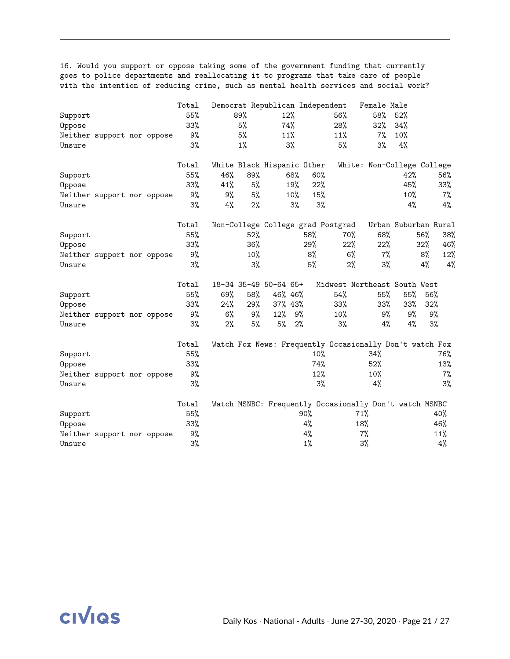16. Would you support or oppose taking some of the government funding that currently goes to police departments and reallocating it to programs that take care of people with the intention of reducing crime, such as mental health services and social work?

|         |                            |  | Total  |       |       | Democrat Republican Independent   |       |       |       | Female Male                                             |                      |        |       |
|---------|----------------------------|--|--------|-------|-------|-----------------------------------|-------|-------|-------|---------------------------------------------------------|----------------------|--------|-------|
| Support |                            |  | 55%    |       | 89%   | 12%                               |       |       | 56%   | 58%                                                     | 52%                  |        |       |
| Oppose  |                            |  | 33%    |       | 5%    | 74%                               |       |       | 28%   | 32%                                                     | 34%                  |        |       |
|         | Neither support nor oppose |  | 9%     |       | 5%    | 11%                               |       |       | 11%   | 7%                                                      | 10%                  |        |       |
| Unsure  |                            |  | 3%     |       | $1\%$ | 3%                                |       |       | 5%    | $3\%$                                                   | 4%                   |        |       |
|         |                            |  | Total  |       |       | White Black Hispanic Other        |       |       |       | White: Non-College College                              |                      |        |       |
| Support |                            |  | 55%    | 46%   | 89%   |                                   | 68%   | 60%   |       |                                                         | 42%                  |        | 56%   |
| Oppose  |                            |  | 33%    | 41%   | 5%    |                                   | 19%   | 22%   |       |                                                         | 45%                  |        | 33%   |
|         | Neither support nor oppose |  | 9%     | 9%    | 5%    |                                   | 10%   | 15%   |       |                                                         | 10%                  |        | 7%    |
| Unsure  |                            |  | 3%     | $4\%$ | $2\%$ |                                   | 3%    | 3%    |       |                                                         | 4%                   |        | 4%    |
|         |                            |  | Total  |       |       | Non-College College grad Postgrad |       |       |       |                                                         | Urban Suburban Rural |        |       |
| Support |                            |  | 55%    |       | 52%   |                                   | 58%   |       | 70%   | 68%                                                     |                      | 56%    | 38%   |
| Oppose  |                            |  | 33%    |       | 36%   |                                   | 29%   |       | 22%   | 22%                                                     |                      | 32%    | 46%   |
|         | Neither support nor oppose |  | 9%     |       | 10%   |                                   |       | 8%    | 6%    | 7%                                                      |                      | 8%     | 12%   |
| Unsure  |                            |  | 3%     |       | 3%    |                                   |       | 5%    | 2%    | 3%                                                      |                      | 4%     | 4%    |
|         |                            |  | Total  |       |       | 18-34 35-49 50-64 65+             |       |       |       | Midwest Northeast South West                            |                      |        |       |
| Support |                            |  | 55%    | 69%   | 58%   | 46% 46%                           |       |       | 54%   | 55%                                                     | 55%                  | 56%    |       |
| Oppose  |                            |  | $33\%$ | 24%   | 29%   | 37% 43%                           |       |       | 33%   | $33\%$                                                  | 33%                  | $32\%$ |       |
|         | Neither support nor oppose |  | 9%     | 6%    | 9%    | 12%                               | 9%    |       | 10%   | 9%                                                      | 9%                   | 9%     |       |
| Unsure  |                            |  | $3\%$  | 2%    | 5%    | 5%                                | 2%    |       | $3\%$ | 4%                                                      | 4%                   | $3\%$  |       |
|         |                            |  | Total  |       |       |                                   |       |       |       | Watch Fox News: Frequently Occasionally Don't watch Fox |                      |        |       |
| Support |                            |  | 55%    |       |       |                                   |       | 10%   |       | 34%                                                     |                      |        | 76%   |
| Oppose  |                            |  | 33%    |       |       |                                   |       | 74%   |       | 52%                                                     |                      |        | 13%   |
|         | Neither support nor oppose |  | 9%     |       |       |                                   |       | 12%   |       | 10%                                                     |                      |        | 7%    |
| Unsure  |                            |  | 3%     |       |       |                                   |       | $3\%$ |       | 4%                                                      |                      |        | $3\%$ |
|         |                            |  | Total  |       |       |                                   |       |       |       | Watch MSNBC: Frequently Occasionally Don't watch MSNBC  |                      |        |       |
| Support |                            |  | 55%    |       |       |                                   | 90%   |       |       | 71%                                                     |                      |        | 40%   |
| Oppose  |                            |  | 33%    |       |       |                                   | 4%    |       |       | 18%                                                     |                      |        | 46%   |
|         | Neither support nor oppose |  | 9%     |       |       |                                   | $4\%$ |       |       | 7%                                                      |                      |        | 11%   |
| Unsure  |                            |  | 3%     |       |       |                                   | 1%    |       |       | 3%                                                      |                      |        | $4\%$ |

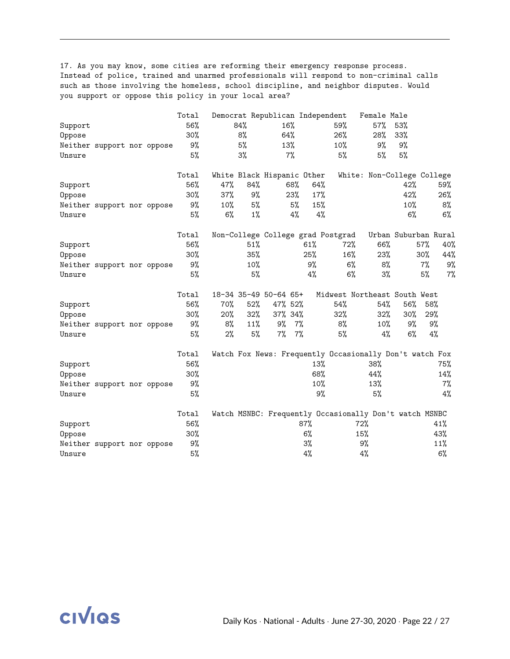17. As you may know, some cities are reforming their emergency response process. Instead of police, trained and unarmed professionals will respond to non-criminal calls such as those involving the homeless, school discipline, and neighbor disputes. Would you support or oppose this policy in your local area?

|         |                            |  | Total |       |       | Democrat Republican Independent   |        |     |                                                         | Female Male |                      |       |       |
|---------|----------------------------|--|-------|-------|-------|-----------------------------------|--------|-----|---------------------------------------------------------|-------------|----------------------|-------|-------|
| Support |                            |  | 56%   |       | 84%   | 16%                               |        |     | 59%                                                     | 57%         | 53%                  |       |       |
| Oppose  |                            |  | 30%   |       | 8%    | 64%                               |        |     | 26%                                                     | 28%         | 33%                  |       |       |
|         | Neither support nor oppose |  | 9%    |       | 5%    | 13%                               |        |     | $10\%$                                                  | 9%          | 9%                   |       |       |
| Unsure  |                            |  | 5%    |       | 3%    |                                   | $7\%$  |     | 5%                                                      | 5%          | 5%                   |       |       |
|         |                            |  | Total |       |       | White Black Hispanic Other        |        |     | White: Non-College College                              |             |                      |       |       |
| Support |                            |  | 56%   | 47%   | 84%   |                                   | 68%    | 64% |                                                         |             | 42%                  |       | 59%   |
| Oppose  |                            |  | 30%   | 37%   | 9%    |                                   | 23%    | 17% |                                                         |             | 42%                  |       | 26%   |
|         | Neither support nor oppose |  | 9%    | 10%   | 5%    |                                   | 5%     | 15% |                                                         |             | 10%                  |       | 8%    |
| Unsure  |                            |  | 5%    | 6%    | $1\%$ |                                   | 4%     | 4%  |                                                         |             | 6%                   |       | $6\%$ |
|         |                            |  | Total |       |       | Non-College College grad Postgrad |        |     |                                                         |             | Urban Suburban Rural |       |       |
| Support |                            |  | 56%   |       | 51%   |                                   | 61%    |     | 72%                                                     | 66%         |                      | 57%   | 40%   |
| Oppose  |                            |  | 30%   |       | 35%   |                                   | 25%    |     | 16%                                                     | 23%         |                      | 30%   | 44%   |
|         | Neither support nor oppose |  | 9%    |       | 10%   |                                   |        | 9%  | 6%                                                      | 8%          |                      | $7\%$ | 9%    |
| Unsure  |                            |  | 5%    |       | 5%    |                                   |        | 4%  | $6\%$                                                   | 3%          |                      | 5%    | 7%    |
|         |                            |  | Total |       |       | 18-34 35-49 50-64 65+             |        |     | Midwest Northeast South West                            |             |                      |       |       |
| Support |                            |  | 56%   | 70%   | 52%   | 47% 52%                           |        |     | 54%                                                     | 54%         | 56%                  | 58%   |       |
| Oppose  |                            |  | 30%   | 20%   | 32%   | 37% 34%                           |        |     | 32%                                                     | 32%         | $30\%$               | 29%   |       |
|         | Neither support nor oppose |  | 9%    | 8%    | 11%   | 9%                                | $7\%$  |     | 8%                                                      | 10%         | 9%                   | 9%    |       |
| Unsure  |                            |  | 5%    | $2\%$ | 5%    | 7%                                | 7%     |     | 5%                                                      | 4%          | $6\%$                | 4%    |       |
|         |                            |  | Total |       |       |                                   |        |     | Watch Fox News: Frequently Occasionally Don't watch Fox |             |                      |       |       |
| Support |                            |  | 56%   |       |       |                                   |        | 13% |                                                         | 38%         |                      |       | 75%   |
| Oppose  |                            |  | 30%   |       |       |                                   |        | 68% |                                                         | 44%         |                      |       | 14%   |
|         | Neither support nor oppose |  | 9%    |       |       |                                   |        | 10% |                                                         | 13%         |                      |       | $7\%$ |
| Unsure  |                            |  | 5%    |       |       |                                   |        | 9%  |                                                         | 5%          |                      |       | 4%    |
|         |                            |  | Total |       |       |                                   |        |     | Watch MSNBC: Frequently Occasionally Don't watch MSNBC  |             |                      |       |       |
| Support |                            |  | 56%   |       |       |                                   | $87\%$ |     | 72%                                                     |             |                      |       | 41%   |
| Oppose  |                            |  | 30%   |       |       |                                   | 6%     |     | 15%                                                     |             |                      |       | 43%   |
|         | Neither support nor oppose |  | 9%    |       |       |                                   | 3%     |     | 9%                                                      |             |                      |       | 11%   |
| Unsure  |                            |  | 5%    |       |       |                                   | 4%     |     | 4%                                                      |             |                      |       | 6%    |

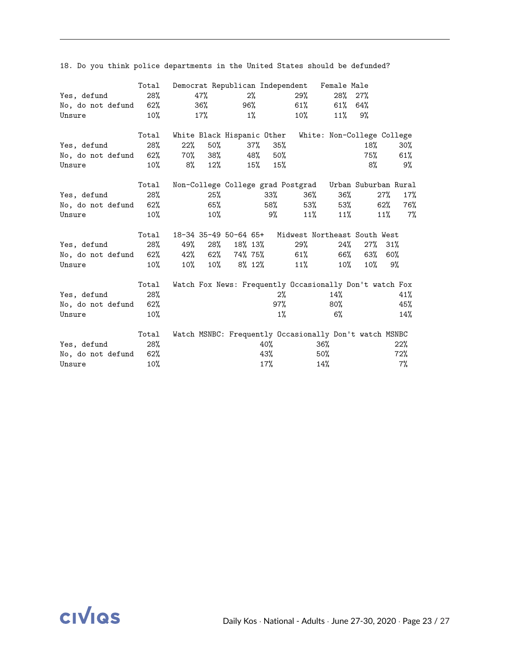|                       | Total  |     |        |                |       |       |        | Democrat Republican Independent Female Male             |            |        |        |
|-----------------------|--------|-----|--------|----------------|-------|-------|--------|---------------------------------------------------------|------------|--------|--------|
| Yes, defund           | 28%    |     | 47%    |                | $2\%$ |       | 29%    |                                                         | $28\%$ 27% |        |        |
| No, do not defund 62% |        |     | 36%    |                | 96%   |       | $61\%$ | $61\%$                                                  | 64%        |        |        |
| Unsure                | $10\%$ |     | $17\%$ |                | 1%    |       | 10%    | $11\%$                                                  | 9%         |        |        |
|                       | Total  |     |        |                |       |       |        | White Black Hispanic Other White: Non-College College   |            |        |        |
| Yes, defund           | 28%    | 22% | 50%    |                | 37%   | 35%   |        |                                                         | 18%        |        | $30\%$ |
| No, do not defund 62% |        | 70% |        | 38%            | 48%   | 50%   |        |                                                         | 75%        |        | 61%    |
| Unsure                | $10\%$ | 8%  | 12%    |                | 15%   | 15%   |        |                                                         | 8%         |        | 9%     |
|                       | Total  |     |        |                |       |       |        | Non-College College grad Postgrad Urban Suburban Rural  |            |        |        |
| Yes, defund           | 28%    |     | $25\%$ |                |       | 33%   | 36%    |                                                         | 36%        | $27\%$ | 17%    |
| No, do not defund 62% |        |     | 65%    |                |       | 58%   | 53%    |                                                         | 53%        | 62%    | 76%    |
| Unsure                | 10%    |     | $10\%$ |                |       | 9%    | 11%    |                                                         | 11%        | 11%    | $7\%$  |
|                       | Total  |     |        |                |       |       |        | 18-34 35-49 50-64 65+ Midwest Northeast South West      |            |        |        |
| Yes, defund           | 28%    | 49% | 28%    | 18% 13%        |       |       | 29%    | 24%                                                     | $27\%$     | 31%    |        |
| No, do not defund 62% |        | 42% |        | 62%74%75%      |       |       | 61%    | 66%                                                     | 63%        | 60%    |        |
| Unsure                | 10%    |     |        | 10% 10% 8% 12% |       |       | 11%    | $10\%$                                                  | $10\%$     |        | 9%     |
|                       | Total  |     |        |                |       |       |        | Watch Fox News: Frequently Occasionally Don't watch Fox |            |        |        |
| Yes, defund           | 28%    |     |        |                |       | $2\%$ |        | 14%                                                     |            |        | 41%    |
| No, do not defund 62% |        |     |        |                |       | 97%   |        | 80%                                                     |            |        | 45%    |
| Unsure                | 10%    |     |        |                |       | $1\%$ |        | 6%                                                      |            |        | 14%    |
|                       | Total  |     |        |                |       |       |        | Watch MSNBC: Frequently Occasionally Don't watch MSNBC  |            |        |        |
| Yes, defund           | 28%    |     |        |                |       | 40%   |        | 36%                                                     |            |        | 22%    |
| No, do not defund     | 62%    |     |        |                |       | 43%   |        | 50%                                                     |            |        | 72%    |
| Unsure                | 10%    |     |        |                |       | 17%   |        | 14%                                                     |            |        | 7%     |

18. Do you think police departments in the United States should be defunded?

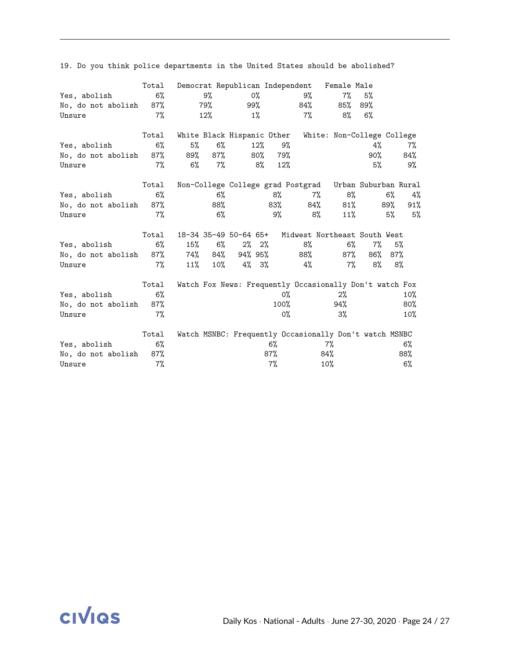|                    | Total |     |        |                            |          |         | Democrat Republican Independent Female Male             |                            |       |       |        |
|--------------------|-------|-----|--------|----------------------------|----------|---------|---------------------------------------------------------|----------------------------|-------|-------|--------|
| Yes, abolish       | $6\%$ |     | 9%     |                            | 0%       |         | 9%                                                      | $7\%$                      | 5%    |       |        |
| No, do not abolish | 87%   |     | 79%    |                            | 99%      |         | 84%                                                     | 85%                        | 89%   |       |        |
| Unsure             | 7%    |     | 12%    |                            | $1\%$    |         | 7%                                                      | 8%                         | 6%    |       |        |
|                    | Total |     |        | White Black Hispanic Other |          |         |                                                         | White: Non-College College |       |       |        |
| Yes, abolish       | 6%    | 5%  | 6%     |                            | 12%      | 9%      |                                                         |                            | 4%    |       | 7%     |
| No, do not abolish | 87%   | 89% | 87%    |                            | 80%      | 79%     |                                                         |                            | 90%   |       | 84%    |
| Unsure             | 7%    | 6%  | 7%     |                            | 8%       | 12%     |                                                         |                            | 5%    |       | 9%     |
|                    | Total |     |        |                            |          |         | Non-College College grad Postgrad Urban Suburban Rural  |                            |       |       |        |
| Yes, abolish       | $6\%$ |     | $6\%$  |                            |          | 8%      | $7\%$                                                   | 8%                         |       | $6\%$ | 4%     |
| No, do not abolish | 87%   |     | 88%    |                            |          | 83%     | 84%                                                     | 81%                        |       | 89%   | $91\%$ |
| Unsure             | $7\%$ |     | $6\%$  |                            |          | 9%      | 8%                                                      | 11%                        |       | 5%    | 5%     |
|                    | Total |     |        | 18-34 35-49 50-64 65+      |          |         | Midwest Northeast South West                            |                            |       |       |        |
| Yes, abolish       | $6\%$ | 15% | 6%     |                            | $2\%$ 2% |         | 8%                                                      | $6\%$                      | $7\%$ |       | 5%     |
| No, do not abolish | 87%   | 74% | 84%    | 94% 95%                    |          |         | 88%                                                     | 87%                        | 86%   | 87%   |        |
| Unsure             | 7%    | 11% | $10\%$ | 4% 3%                      |          |         | 4%                                                      | 7%                         | 8%    |       | 8%     |
|                    | Total |     |        |                            |          |         | Watch Fox News: Frequently Occasionally Don't watch Fox |                            |       |       |        |
| Yes, abolish       | 6%    |     |        |                            |          | 0%      |                                                         | $2\%$                      |       |       | $10\%$ |
| No, do not abolish | 87%   |     |        |                            |          | $100\%$ |                                                         | 94%                        |       |       | 80%    |
| Unsure             | 7%    |     |        |                            |          | 0%      |                                                         | 3%                         |       |       | 10%    |
|                    | Total |     |        |                            |          |         | Watch MSNBC: Frequently Occasionally Don't watch MSNBC  |                            |       |       |        |
| Yes, abolish       | 6%    |     |        |                            |          | $6\%$   |                                                         | 7%                         |       |       | 6%     |
| No, do not abolish | 87%   |     |        |                            |          | $87\%$  |                                                         | 84%                        |       |       | 88%    |
| Unsure             | $7\%$ |     |        |                            |          | 7%      |                                                         | 10%                        |       |       | 6%     |

19. Do you think police departments in the United States should be abolished?

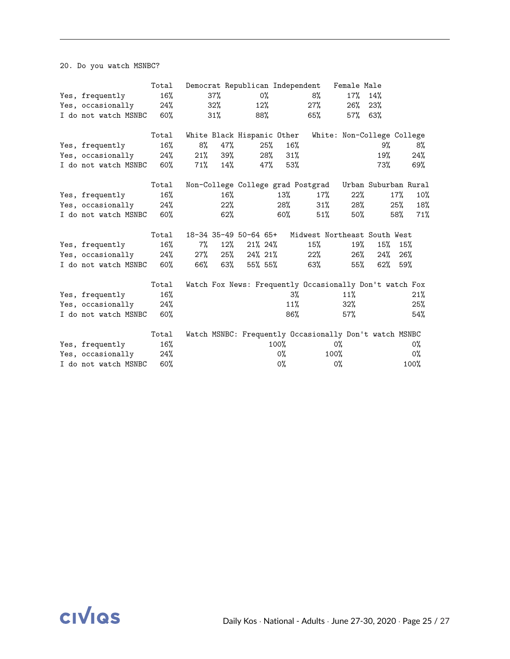20. Do you watch MSNBC?

|                          | Total  |        |     |                            |        |        | Democrat Republican Independent Female Male             |                            |                      |        |       |
|--------------------------|--------|--------|-----|----------------------------|--------|--------|---------------------------------------------------------|----------------------------|----------------------|--------|-------|
| Yes, frequently          | $16\%$ |        | 37% |                            | 0%     |        | 8%                                                      | 17%                        | 14%                  |        |       |
| Yes, occasionally        | 24%    |        | 32% |                            | 12%    |        | 27%                                                     | 26%                        | 23%                  |        |       |
| I do not watch MSNBC 60% |        |        | 31% |                            | 88%    |        | 65%                                                     | 57%                        | 63%                  |        |       |
|                          | Total  |        |     | White Black Hispanic Other |        |        |                                                         | White: Non-College College |                      |        |       |
| Yes, frequently          | 16%    | 8%     | 47% |                            | $25\%$ | 16%    |                                                         |                            | 9%                   |        | 8%    |
| Yes, occasionally        | 24%    | 21%    | 39% |                            | 28%    | 31%    |                                                         |                            | 19%                  |        | 24%   |
| I do not watch MSNBC 60% |        | $71\%$ | 14% |                            | 47%    | 53%    |                                                         |                            | 73%                  |        | 69%   |
|                          | Total  |        |     |                            |        |        | Non-College College grad Postgrad                       |                            | Urban Suburban Rural |        |       |
| Yes, frequently          | 16%    |        | 16% |                            |        | 13%    | $17\%$                                                  | $22\%$                     |                      | $17\%$ | 10%   |
| Yes, occasionally        | 24%    |        | 22% |                            |        | 28%    | $31\%$                                                  | 28%                        |                      | 25%    | 18%   |
| I do not watch MSNBC 60% |        |        | 62% |                            |        | $60\%$ | 51%                                                     | 50%                        |                      | 58%    | 71%   |
|                          | Total  |        |     | 18-34 35-49 50-64 65+      |        |        | Midwest Northeast South West                            |                            |                      |        |       |
| Yes, frequently          | 16%    | 7%     | 12% | 21% 24%                    |        |        | 15%                                                     | 19%                        | 15%                  | 15%    |       |
| Yes, occasionally 24%    |        | $27\%$ | 25% | 24% 21%                    |        |        | 22%                                                     | 26%                        | 24%                  | 26%    |       |
| I do not watch MSNBC 60% |        | 66%    | 63% | 55% 55%                    |        |        | 63%                                                     | 55%                        | 62%                  | 59%    |       |
|                          | Total  |        |     |                            |        |        | Watch Fox News: Frequently Occasionally Don't watch Fox |                            |                      |        |       |
| Yes, frequently          | 16%    |        |     |                            |        | 3%     |                                                         | 11%                        |                      |        | 21%   |
| Yes, occasionally        | 24%    |        |     |                            |        | 11%    |                                                         | 32%                        |                      |        | 25%   |
| I do not watch MSNBC     | 60%    |        |     |                            |        | 86%    |                                                         | 57%                        |                      |        | 54%   |
|                          | Total  |        |     |                            |        |        | Watch MSNBC: Frequently Occasionally Don't watch MSNBC  |                            |                      |        |       |
| Yes, frequently          | 16%    |        |     |                            |        | 100%   |                                                         | 0%                         |                      |        | 0%    |
| Yes, occasionally        | 24%    |        |     |                            |        | 0%     |                                                         | 100%                       |                      |        | $0\%$ |
| I do not watch MSNBC     | 60%    |        |     |                            |        | $0\%$  |                                                         | 0%                         |                      |        | 100%  |

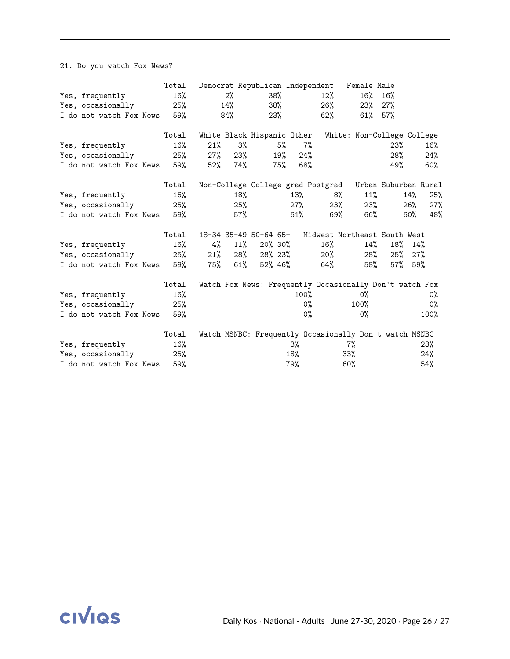#### 21. Do you watch Fox News?

|                         | Total |     |     | Democrat Republican Independent |     |         |                                                         | Female Male                |                      |     |        |
|-------------------------|-------|-----|-----|---------------------------------|-----|---------|---------------------------------------------------------|----------------------------|----------------------|-----|--------|
| Yes, frequently         | 16%   |     | 2%  |                                 | 38% |         | 12%                                                     | 16%                        | 16%                  |     |        |
| Yes, occasionally       | 25%   |     | 14% |                                 | 38% |         | 26%                                                     | 23%                        | 27%                  |     |        |
| I do not watch Fox News | 59%   |     | 84% |                                 | 23% |         | 62%                                                     | 61%                        | 57%                  |     |        |
|                         | Total |     |     | White Black Hispanic Other      |     |         |                                                         | White: Non-College College |                      |     |        |
| Yes, frequently         | 16%   | 21% | 3%  |                                 | 5%  | $7\%$   |                                                         |                            | 23%                  |     | $16\%$ |
| Yes, occasionally       | 25%   | 27% | 23% |                                 | 19% | 24%     |                                                         |                            | 28%                  |     | 24%    |
| I do not watch Fox News | 59%   | 52% | 74% |                                 | 75% | 68%     |                                                         |                            | 49%                  |     | $60\%$ |
|                         | Total |     |     |                                 |     |         | Non-College College grad Postgrad                       |                            | Urban Suburban Rural |     |        |
| Yes, frequently         | 16%   |     | 18% |                                 |     | 13%     | 8%                                                      | 11%                        |                      | 14% | 25%    |
| Yes, occasionally       | 25%   |     | 25% |                                 |     | 27%     | 23%                                                     | 23%                        |                      | 26% | 27%    |
| I do not watch Fox News | 59%   |     | 57% |                                 |     | 61%     | 69%                                                     | 66%                        |                      | 60% | 48%    |
|                         | Total |     |     | 18-34 35-49 50-64 65+           |     |         | Midwest Northeast South West                            |                            |                      |     |        |
| Yes, frequently         | 16%   | 4%  | 11% | 20% 30%                         |     |         | 16%                                                     | 14%                        | 18%                  | 14% |        |
| Yes, occasionally       | 25%   | 21% | 28% | 28% 23%                         |     |         | $20\%$                                                  | 28%                        | 25%                  | 27% |        |
| I do not watch Fox News | 59%   | 75% | 61% | 52% 46%                         |     |         | 64%                                                     | 58%                        | 57% 59%              |     |        |
|                         | Total |     |     |                                 |     |         | Watch Fox News: Frequently Occasionally Don't watch Fox |                            |                      |     |        |
| Yes, frequently         | 16%   |     |     |                                 |     | $100\%$ |                                                         | 0%                         |                      |     | 0%     |
| Yes, occasionally       | 25%   |     |     |                                 |     | 0%      |                                                         | 100%                       |                      |     | 0%     |
| I do not watch Fox News | 59%   |     |     |                                 |     | 0%      |                                                         | $0\%$                      |                      |     | 100%   |
|                         | Total |     |     |                                 |     |         | Watch MSNBC: Frequently Occasionally Don't watch MSNBC  |                            |                      |     |        |
| Yes, frequently         | 16%   |     |     |                                 |     | 3%      |                                                         | 7%                         |                      |     | 23%    |
| Yes, occasionally       | 25%   |     |     |                                 |     | 18%     |                                                         | $33\%$                     |                      |     | 24%    |
| I do not watch Fox News | 59%   |     |     |                                 |     | 79%     |                                                         | 60%                        |                      |     | 54%    |